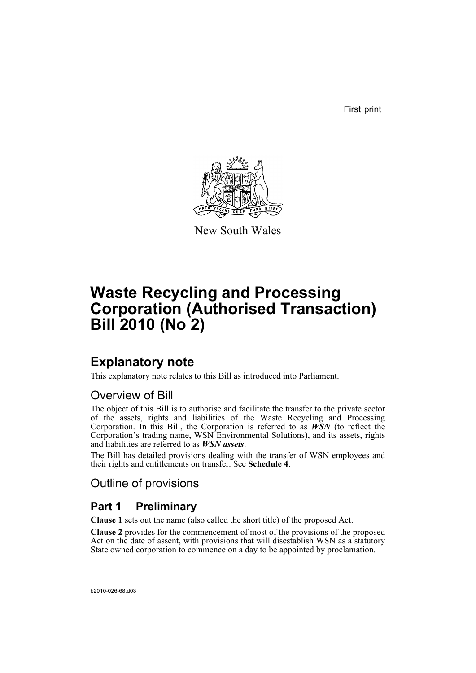First print



New South Wales

# **Waste Recycling and Processing Corporation (Authorised Transaction) Bill 2010 (No 2)**

## **Explanatory note**

This explanatory note relates to this Bill as introduced into Parliament.

## Overview of Bill

The object of this Bill is to authorise and facilitate the transfer to the private sector of the assets, rights and liabilities of the Waste Recycling and Processing Corporation. In this Bill, the Corporation is referred to as *WSN* (to reflect the Corporation's trading name, WSN Environmental Solutions), and its assets, rights and liabilities are referred to as *WSN assets*.

The Bill has detailed provisions dealing with the transfer of WSN employees and their rights and entitlements on transfer. See **Schedule 4**.

## Outline of provisions

## **Part 1 Preliminary**

**Clause 1** sets out the name (also called the short title) of the proposed Act.

**Clause 2** provides for the commencement of most of the provisions of the proposed Act on the date of assent, with provisions that will disestablish WSN as a statutory State owned corporation to commence on a day to be appointed by proclamation.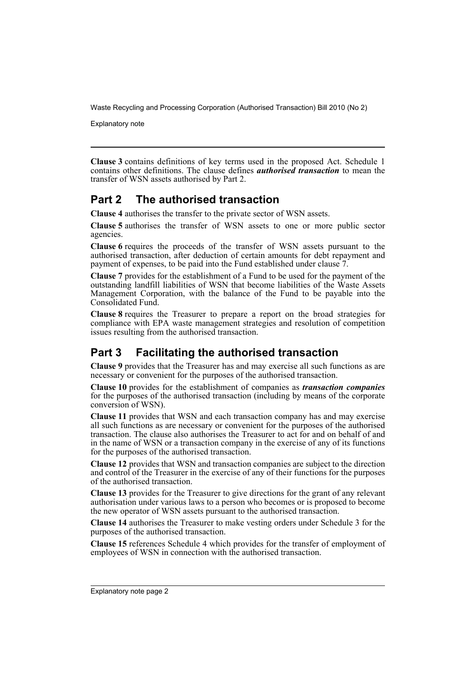Explanatory note

**Clause 3** contains definitions of key terms used in the proposed Act. Schedule 1 contains other definitions. The clause defines *authorised transaction* to mean the transfer of WSN assets authorised by Part 2.

## **Part 2 The authorised transaction**

**Clause 4** authorises the transfer to the private sector of WSN assets.

**Clause 5** authorises the transfer of WSN assets to one or more public sector agencies.

**Clause 6** requires the proceeds of the transfer of WSN assets pursuant to the authorised transaction, after deduction of certain amounts for debt repayment and payment of expenses, to be paid into the Fund established under clause  $7$ .

**Clause 7** provides for the establishment of a Fund to be used for the payment of the outstanding landfill liabilities of WSN that become liabilities of the Waste Assets Management Corporation, with the balance of the Fund to be payable into the Consolidated Fund.

**Clause 8** requires the Treasurer to prepare a report on the broad strategies for compliance with EPA waste management strategies and resolution of competition issues resulting from the authorised transaction.

## **Part 3 Facilitating the authorised transaction**

**Clause 9** provides that the Treasurer has and may exercise all such functions as are necessary or convenient for the purposes of the authorised transaction.

**Clause 10** provides for the establishment of companies as *transaction companies* for the purposes of the authorised transaction (including by means of the corporate conversion of WSN).

**Clause 11** provides that WSN and each transaction company has and may exercise all such functions as are necessary or convenient for the purposes of the authorised transaction. The clause also authorises the Treasurer to act for and on behalf of and in the name of WSN or a transaction company in the exercise of any of its functions for the purposes of the authorised transaction.

**Clause 12** provides that WSN and transaction companies are subject to the direction and control of the Treasurer in the exercise of any of their functions for the purposes of the authorised transaction.

**Clause 13** provides for the Treasurer to give directions for the grant of any relevant authorisation under various laws to a person who becomes or is proposed to become the new operator of WSN assets pursuant to the authorised transaction.

**Clause 14** authorises the Treasurer to make vesting orders under Schedule 3 for the purposes of the authorised transaction.

**Clause 15** references Schedule 4 which provides for the transfer of employment of employees of WSN in connection with the authorised transaction.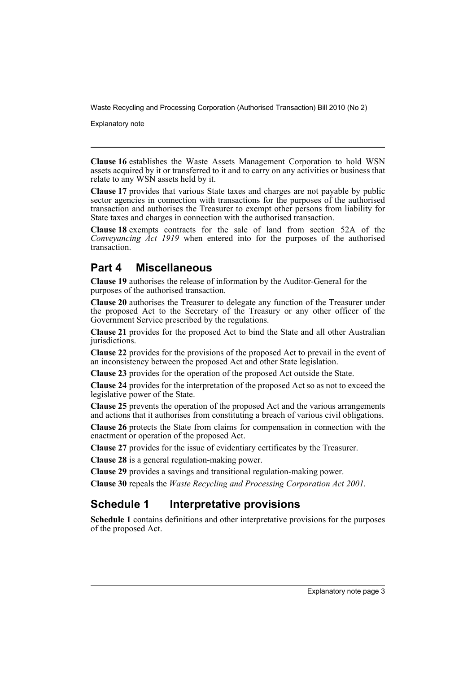Explanatory note

**Clause 16** establishes the Waste Assets Management Corporation to hold WSN assets acquired by it or transferred to it and to carry on any activities or business that relate to any WSN assets held by it.

**Clause 17** provides that various State taxes and charges are not payable by public sector agencies in connection with transactions for the purposes of the authorised transaction and authorises the Treasurer to exempt other persons from liability for State taxes and charges in connection with the authorised transaction.

**Clause 18** exempts contracts for the sale of land from section 52A of the *Conveyancing Act 1919* when entered into for the purposes of the authorised transaction.

## **Part 4 Miscellaneous**

**Clause 19** authorises the release of information by the Auditor-General for the purposes of the authorised transaction.

**Clause 20** authorises the Treasurer to delegate any function of the Treasurer under the proposed Act to the Secretary of the Treasury or any other officer of the Government Service prescribed by the regulations.

**Clause 21** provides for the proposed Act to bind the State and all other Australian jurisdictions.

**Clause 22** provides for the provisions of the proposed Act to prevail in the event of an inconsistency between the proposed Act and other State legislation.

**Clause 23** provides for the operation of the proposed Act outside the State.

**Clause 24** provides for the interpretation of the proposed Act so as not to exceed the legislative power of the State.

**Clause 25** prevents the operation of the proposed Act and the various arrangements and actions that it authorises from constituting a breach of various civil obligations.

**Clause 26** protects the State from claims for compensation in connection with the enactment or operation of the proposed Act.

**Clause 27** provides for the issue of evidentiary certificates by the Treasurer.

**Clause 28** is a general regulation-making power.

**Clause 29** provides a savings and transitional regulation-making power.

**Clause 30** repeals the *Waste Recycling and Processing Corporation Act 2001*.

## **Schedule 1 Interpretative provisions**

**Schedule 1** contains definitions and other interpretative provisions for the purposes of the proposed Act.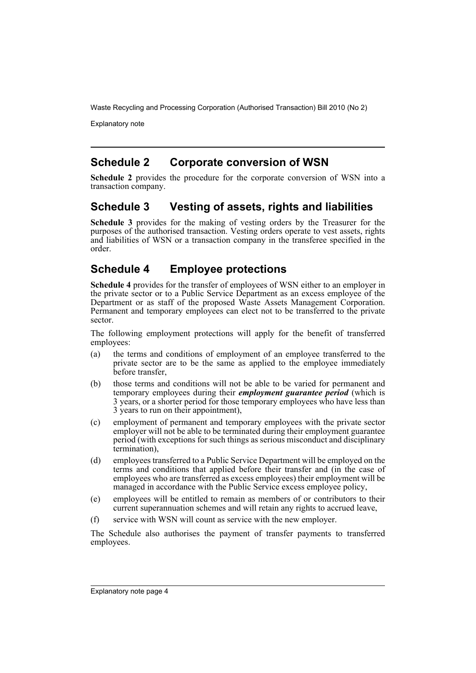Explanatory note

## **Schedule 2 Corporate conversion of WSN**

**Schedule 2** provides the procedure for the corporate conversion of WSN into a transaction company.

## **Schedule 3 Vesting of assets, rights and liabilities**

**Schedule 3** provides for the making of vesting orders by the Treasurer for the purposes of the authorised transaction. Vesting orders operate to vest assets, rights and liabilities of WSN or a transaction company in the transferee specified in the order.

## **Schedule 4 Employee protections**

**Schedule 4** provides for the transfer of employees of WSN either to an employer in the private sector or to a Public Service Department as an excess employee of the Department or as staff of the proposed Waste Assets Management Corporation. Permanent and temporary employees can elect not to be transferred to the private sector.

The following employment protections will apply for the benefit of transferred employees:

- (a) the terms and conditions of employment of an employee transferred to the private sector are to be the same as applied to the employee immediately before transfer,
- (b) those terms and conditions will not be able to be varied for permanent and temporary employees during their *employment guarantee period* (which is 3 years, or a shorter period for those temporary employees who have less than 3 years to run on their appointment),
- (c) employment of permanent and temporary employees with the private sector employer will not be able to be terminated during their employment guarantee period (with exceptions for such things as serious misconduct and disciplinary termination),
- (d) employees transferred to a Public Service Department will be employed on the terms and conditions that applied before their transfer and (in the case of employees who are transferred as excess employees) their employment will be managed in accordance with the Public Service excess employee policy,
- (e) employees will be entitled to remain as members of or contributors to their current superannuation schemes and will retain any rights to accrued leave,
- (f) service with WSN will count as service with the new employer.

The Schedule also authorises the payment of transfer payments to transferred employees.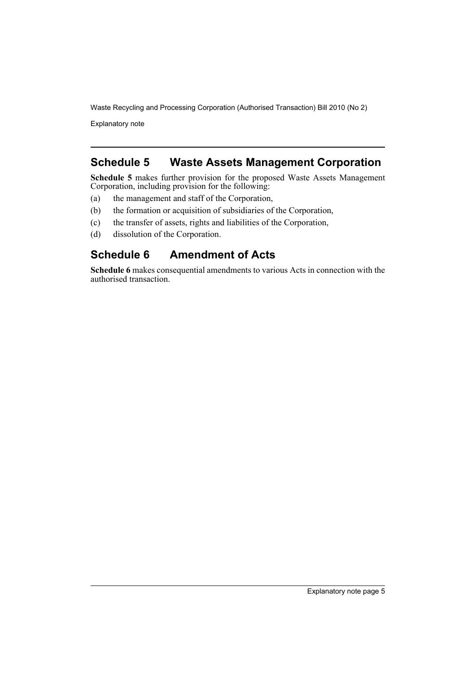Explanatory note

## **Schedule 5 Waste Assets Management Corporation**

**Schedule 5** makes further provision for the proposed Waste Assets Management Corporation, including provision for the following:

- (a) the management and staff of the Corporation,
- (b) the formation or acquisition of subsidiaries of the Corporation,
- (c) the transfer of assets, rights and liabilities of the Corporation,
- (d) dissolution of the Corporation.

## **Schedule 6 Amendment of Acts**

**Schedule 6** makes consequential amendments to various Acts in connection with the authorised transaction.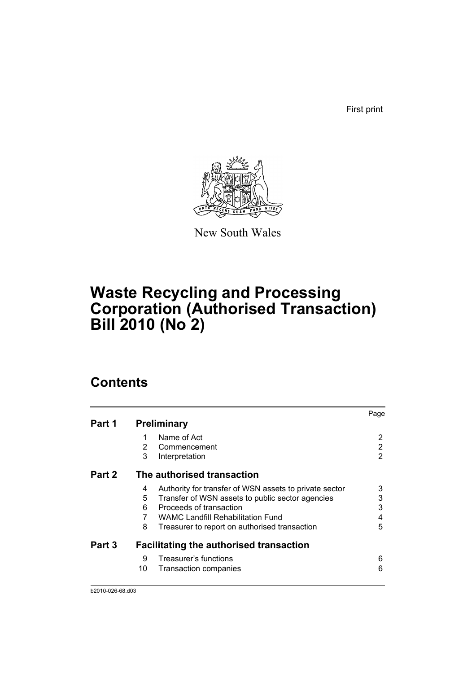First print



New South Wales

# **Waste Recycling and Processing Corporation (Authorised Transaction) Bill 2010 (No 2)**

## **Contents**

|        |                                                             | Page |
|--------|-------------------------------------------------------------|------|
| Part 1 | <b>Preliminary</b>                                          |      |
|        | Name of Act<br>1                                            | 2    |
|        | 2<br>Commencement                                           | 2    |
|        | 3<br>Interpretation                                         | 2    |
| Part 2 | The authorised transaction                                  |      |
|        | Authority for transfer of WSN assets to private sector<br>4 | 3    |
|        | 5<br>Transfer of WSN assets to public sector agencies       | 3    |
|        | Proceeds of transaction<br>6                                | 3    |
|        | <b>WAMC Landfill Rehabilitation Fund</b>                    | 4    |
|        | 8<br>Treasurer to report on authorised transaction          | 5    |
| Part 3 | <b>Facilitating the authorised transaction</b>              |      |
|        | Treasurer's functions<br>9                                  | 6    |
|        | 10<br>Transaction companies                                 | 6    |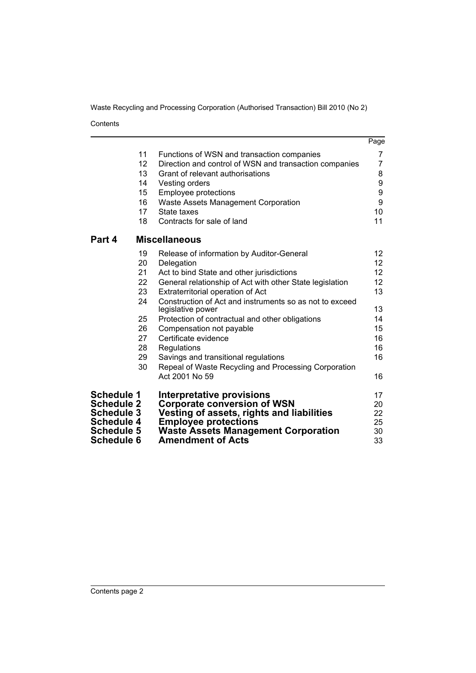Contents

|                   |    |                                                                              | Page            |
|-------------------|----|------------------------------------------------------------------------------|-----------------|
|                   | 11 | Functions of WSN and transaction companies                                   | 7               |
|                   | 12 | Direction and control of WSN and transaction companies                       | 7               |
|                   | 13 | Grant of relevant authorisations                                             | 8               |
|                   | 14 | Vesting orders                                                               | 9               |
|                   | 15 | <b>Employee protections</b>                                                  | 9               |
|                   | 16 | Waste Assets Management Corporation                                          | 9               |
|                   | 17 | State taxes                                                                  | 10              |
|                   | 18 | Contracts for sale of land                                                   | 11              |
| Part 4            |    | <b>Miscellaneous</b>                                                         |                 |
|                   | 19 | Release of information by Auditor-General                                    | 12              |
|                   | 20 | Delegation                                                                   | 12 <sup>°</sup> |
|                   | 21 | Act to bind State and other jurisdictions                                    | 12              |
|                   | 22 | General relationship of Act with other State legislation                     | 12              |
|                   | 23 | Extraterritorial operation of Act                                            | 13              |
|                   | 24 | Construction of Act and instruments so as not to exceed<br>legislative power | 13              |
|                   | 25 | Protection of contractual and other obligations                              | 14              |
|                   | 26 | Compensation not payable                                                     | 15              |
|                   | 27 | Certificate evidence                                                         | 16              |
|                   | 28 | Regulations                                                                  | 16              |
|                   | 29 | Savings and transitional regulations                                         | 16              |
|                   | 30 | Repeal of Waste Recycling and Processing Corporation                         |                 |
|                   |    | Act 2001 No 59                                                               | 16              |
| <b>Schedule 1</b> |    | <b>Interpretative provisions</b>                                             | 17              |
| <b>Schedule 2</b> |    | <b>Corporate conversion of WSN</b>                                           | 20              |
| <b>Schedule 3</b> |    | Vesting of assets, rights and liabilities                                    | 22              |
| <b>Schedule 4</b> |    | <b>Employee protections</b>                                                  | 25              |
| <b>Schedule 5</b> |    | <b>Waste Assets Management Corporation</b>                                   | 30              |
| <b>Schedule 6</b> |    | <b>Amendment of Acts</b>                                                     | 33              |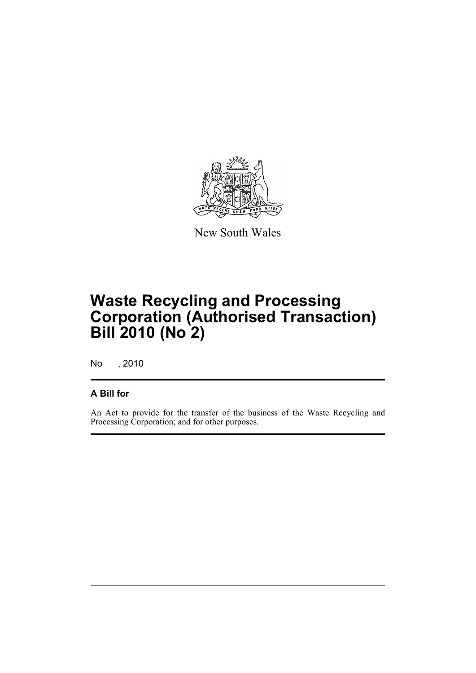

New South Wales

## **Waste Recycling and Processing Corporation (Authorised Transaction) Bill 2010 (No 2)**

No , 2010

### **A Bill for**

An Act to provide for the transfer of the business of the Waste Recycling and Processing Corporation; and for other purposes.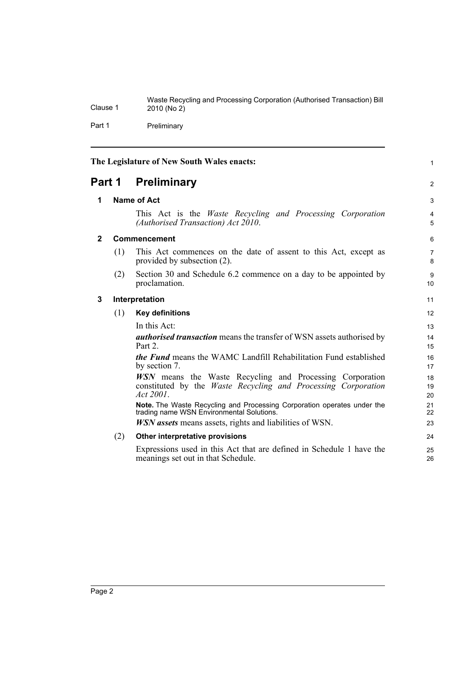Waste Recycling and Processing Corporation (Authorised Transaction) Bill Clause 1 2010 (No 2) Part 1 Preliminary

<span id="page-9-3"></span><span id="page-9-2"></span><span id="page-9-1"></span><span id="page-9-0"></span>

| The Legislature of New South Wales enacts: |               |                                                                                                                                                      | $\mathbf{1}$         |
|--------------------------------------------|---------------|------------------------------------------------------------------------------------------------------------------------------------------------------|----------------------|
|                                            | <b>Part 1</b> | <b>Preliminary</b>                                                                                                                                   | $\overline{2}$       |
| 1                                          |               | Name of Act                                                                                                                                          | 3                    |
|                                            |               | This Act is the <i>Waste Recycling and Processing Corporation</i><br>(Authorised Transaction) Act 2010.                                              | 4<br>5               |
| $\mathbf{2}$                               |               | Commencement                                                                                                                                         | 6                    |
|                                            | (1)           | This Act commences on the date of assent to this Act, except as<br>provided by subsection (2).                                                       | $\overline{7}$<br>8  |
|                                            | (2)           | Section 30 and Schedule 6.2 commence on a day to be appointed by<br>proclamation.                                                                    | 9<br>10 <sup>1</sup> |
| 3                                          |               | Interpretation                                                                                                                                       | 11                   |
|                                            | (1)           | <b>Key definitions</b>                                                                                                                               | 12                   |
|                                            |               | In this Act:                                                                                                                                         | 13                   |
|                                            |               | <i>authorised transaction</i> means the transfer of WSN assets authorised by<br>Part 2.                                                              | 14<br>15             |
|                                            |               | the Fund means the WAMC Landfill Rehabilitation Fund established<br>by section 7.                                                                    | 16<br>17             |
|                                            |               | <b>WSN</b> means the Waste Recycling and Processing Corporation<br>constituted by the <i>Waste Recycling and Processing Corporation</i><br>Act 2001. | 18<br>19<br>20       |
|                                            |               | Note. The Waste Recycling and Processing Corporation operates under the<br>trading name WSN Environmental Solutions.                                 | 21<br>22             |
|                                            |               | <i>WSN</i> assets means assets, rights and liabilities of WSN.                                                                                       | 23                   |
|                                            | (2)           | Other interpretative provisions                                                                                                                      | 24                   |
|                                            |               | Expressions used in this Act that are defined in Schedule 1 have the<br>meanings set out in that Schedule.                                           | 25<br>26             |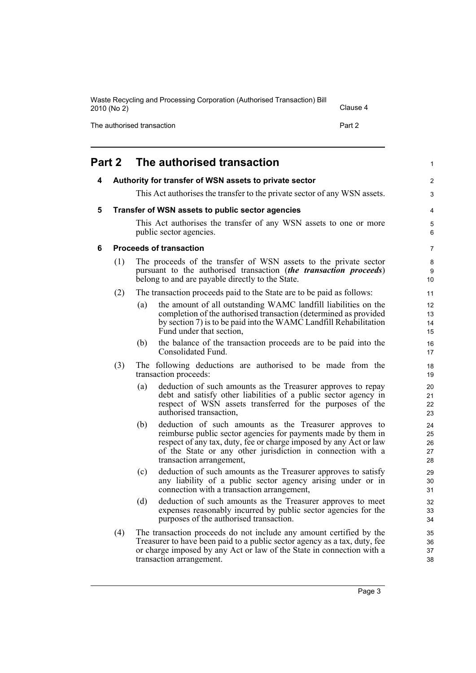<span id="page-10-3"></span><span id="page-10-2"></span><span id="page-10-1"></span><span id="page-10-0"></span>

|   | 2010 (No 2) |                            |                                                                                                                                                                                                                                                                                         | Clause 4 |                            |
|---|-------------|----------------------------|-----------------------------------------------------------------------------------------------------------------------------------------------------------------------------------------------------------------------------------------------------------------------------------------|----------|----------------------------|
|   |             | The authorised transaction |                                                                                                                                                                                                                                                                                         | Part 2   |                            |
|   | Part 2      |                            | The authorised transaction                                                                                                                                                                                                                                                              |          | $\mathbf{1}$               |
| 4 |             |                            | Authority for transfer of WSN assets to private sector                                                                                                                                                                                                                                  |          | $\overline{2}$             |
|   |             |                            | This Act authorises the transfer to the private sector of any WSN assets.                                                                                                                                                                                                               |          | 3                          |
| 5 |             |                            | Transfer of WSN assets to public sector agencies                                                                                                                                                                                                                                        |          | 4                          |
|   |             |                            | This Act authorises the transfer of any WSN assets to one or more<br>public sector agencies.                                                                                                                                                                                            |          | 5<br>6                     |
| 6 |             |                            | <b>Proceeds of transaction</b>                                                                                                                                                                                                                                                          |          | 7                          |
|   | (1)         |                            | The proceeds of the transfer of WSN assets to the private sector<br>pursuant to the authorised transaction (the transaction proceeds)<br>belong to and are payable directly to the State.                                                                                               |          | 8<br>9<br>10               |
|   | (2)         |                            | The transaction proceeds paid to the State are to be paid as follows:                                                                                                                                                                                                                   |          | 11                         |
|   |             | (a)                        | the amount of all outstanding WAMC landfill liabilities on the<br>completion of the authorised transaction (determined as provided<br>by section 7) is to be paid into the WAMC Landfill Rehabilitation<br>Fund under that section,                                                     |          | 12<br>13<br>14<br>15       |
|   |             | (b)                        | the balance of the transaction proceeds are to be paid into the<br>Consolidated Fund.                                                                                                                                                                                                   |          | 16<br>17                   |
|   | (3)         |                            | The following deductions are authorised to be made from the<br>transaction proceeds:                                                                                                                                                                                                    |          | 18<br>19                   |
|   |             | (a)                        | deduction of such amounts as the Treasurer approves to repay<br>debt and satisfy other liabilities of a public sector agency in<br>respect of WSN assets transferred for the purposes of the<br>authorised transaction,                                                                 |          | 20<br>21<br>22<br>23       |
|   |             | (b)                        | deduction of such amounts as the Treasurer approves to<br>reimburse public sector agencies for payments made by them in<br>respect of any tax, duty, fee or charge imposed by any Act or law<br>of the State or any other jurisdiction in connection with a<br>transaction arrangement, |          | 24<br>25<br>26<br>27<br>28 |
|   |             | (c)                        | deduction of such amounts as the Treasurer approves to satisfy<br>any liability of a public sector agency arising under or in<br>connection with a transaction arrangement,                                                                                                             |          | 29<br>30<br>31             |
|   |             | (d)                        | deduction of such amounts as the Treasurer approves to meet<br>expenses reasonably incurred by public sector agencies for the                                                                                                                                                           |          | 32<br>33                   |

(4) The transaction proceeds do not include any amount certified by the Treasurer to have been paid to a public sector agency as a tax, duty, fee or charge imposed by any Act or law of the State in connection with a transaction arrangement.

purposes of the authorised transaction.

Page 3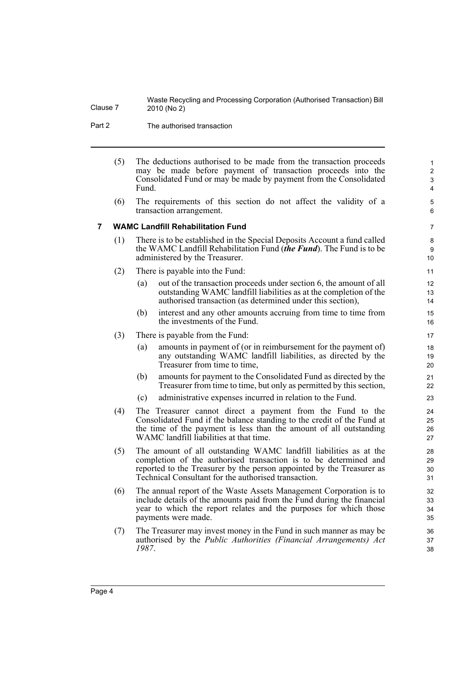Part 2 The authorised transaction

- (5) The deductions authorised to be made from the transaction proceeds may be made before payment of transaction proceeds into the Consolidated Fund or may be made by payment from the Consolidated Fund.
- (6) The requirements of this section do not affect the validity of a transaction arrangement.

#### <span id="page-11-0"></span>**7 WAMC Landfill Rehabilitation Fund**

- (1) There is to be established in the Special Deposits Account a fund called the WAMC Landfill Rehabilitation Fund (*the Fund*). The Fund is to be administered by the Treasurer.
- (2) There is payable into the Fund:
	- (a) out of the transaction proceeds under section 6, the amount of all outstanding WAMC landfill liabilities as at the completion of the authorised transaction (as determined under this section),
	- (b) interest and any other amounts accruing from time to time from the investments of the Fund.
- (3) There is payable from the Fund:
	- (a) amounts in payment of (or in reimbursement for the payment of) any outstanding WAMC landfill liabilities, as directed by the Treasurer from time to time,
	- (b) amounts for payment to the Consolidated Fund as directed by the Treasurer from time to time, but only as permitted by this section,
	- (c) administrative expenses incurred in relation to the Fund.
- (4) The Treasurer cannot direct a payment from the Fund to the Consolidated Fund if the balance standing to the credit of the Fund at the time of the payment is less than the amount of all outstanding WAMC landfill liabilities at that time.
- (5) The amount of all outstanding WAMC landfill liabilities as at the completion of the authorised transaction is to be determined and reported to the Treasurer by the person appointed by the Treasurer as Technical Consultant for the authorised transaction.
- (6) The annual report of the Waste Assets Management Corporation is to include details of the amounts paid from the Fund during the financial year to which the report relates and the purposes for which those payments were made.
- (7) The Treasurer may invest money in the Fund in such manner as may be authorised by the *Public Authorities (Financial Arrangements) Act 1987*.

9 10

7 8

11 12

 $24$ 25 26

35 36 37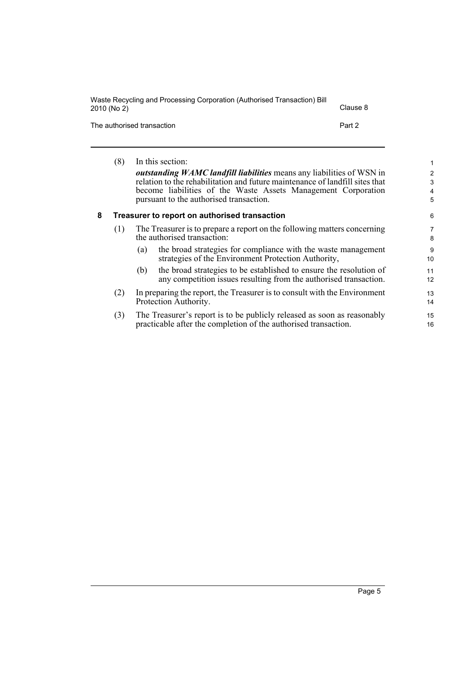| Waste Recycling and Processing Corporation (Authorised Transaction) Bill<br>2010 (No 2) | Clause 8 |
|-----------------------------------------------------------------------------------------|----------|
| The authorised transaction                                                              | Part 2   |

<span id="page-12-0"></span>

|   | (8) | In this section:                                                                                                                                      | 1                   |
|---|-----|-------------------------------------------------------------------------------------------------------------------------------------------------------|---------------------|
|   |     | outstanding WAMC landfill liabilities means any liabilities of WSN in<br>relation to the rehabilitation and future maintenance of landfill sites that | $\overline{2}$<br>3 |
|   |     | become liabilities of the Waste Assets Management Corporation<br>pursuant to the authorised transaction.                                              | 4<br>5              |
| 8 |     | Treasurer to report on authorised transaction                                                                                                         | 6                   |
|   | (1) | The Treasurer is to prepare a report on the following matters concerning<br>the authorised transaction:                                               | 7<br>8              |
|   |     | the broad strategies for compliance with the waste management<br>(a)<br>strategies of the Environment Protection Authority,                           | 9<br>10             |
|   |     | the broad strategies to be established to ensure the resolution of<br>(b)<br>any competition issues resulting from the authorised transaction.        | 11<br>12            |
|   | (2) | In preparing the report, the Treasurer is to consult with the Environment<br>Protection Authority.                                                    | 13<br>14            |
|   | (3) | The Treasurer's report is to be publicly released as soon as reasonably<br>practicable after the completion of the authorised transaction.            | 15<br>16            |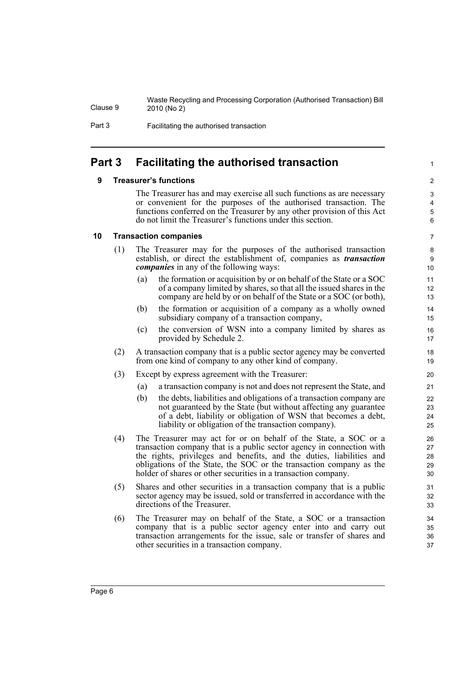Part 3 Facilitating the authorised transaction

## <span id="page-13-1"></span><span id="page-13-0"></span>**Part 3 Facilitating the authorised transaction**

#### **9 Treasurer's functions**

The Treasurer has and may exercise all such functions as are necessary or convenient for the purposes of the authorised transaction. The functions conferred on the Treasurer by any other provision of this Act do not limit the Treasurer's functions under this section.

#### <span id="page-13-2"></span>**10 Transaction companies**

- (1) The Treasurer may for the purposes of the authorised transaction establish, or direct the establishment of, companies as *transaction companies* in any of the following ways:
	- (a) the formation or acquisition by or on behalf of the State or a SOC of a company limited by shares, so that all the issued shares in the company are held by or on behalf of the State or a SOC (or both),
	- (b) the formation or acquisition of a company as a wholly owned subsidiary company of a transaction company,
	- (c) the conversion of WSN into a company limited by shares as provided by Schedule 2.
- (2) A transaction company that is a public sector agency may be converted from one kind of company to any other kind of company.
- (3) Except by express agreement with the Treasurer:
	- (a) a transaction company is not and does not represent the State, and
	- (b) the debts, liabilities and obligations of a transaction company are not guaranteed by the State (but without affecting any guarantee of a debt, liability or obligation of WSN that becomes a debt, liability or obligation of the transaction company).
- (4) The Treasurer may act for or on behalf of the State, a SOC or a transaction company that is a public sector agency in connection with the rights, privileges and benefits, and the duties, liabilities and obligations of the State, the SOC or the transaction company as the holder of shares or other securities in a transaction company.
- (5) Shares and other securities in a transaction company that is a public sector agency may be issued, sold or transferred in accordance with the directions of the Treasurer.
- (6) The Treasurer may on behalf of the State, a SOC or a transaction company that is a public sector agency enter into and carry out transaction arrangements for the issue, sale or transfer of shares and other securities in a transaction company.

 $\mathfrak{p}$ 3 4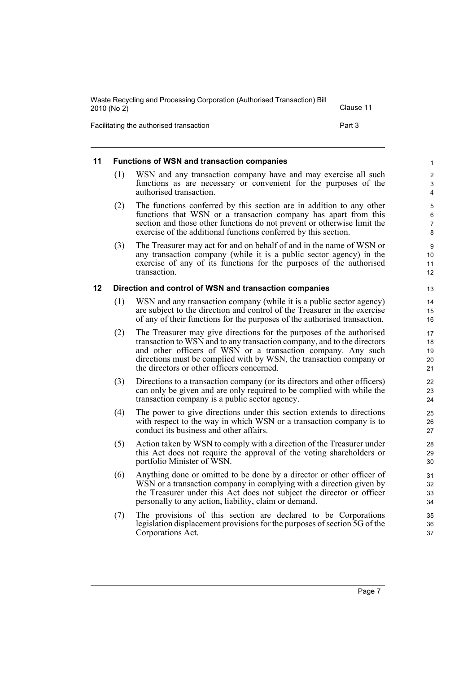| Waste Recycling and Processing Corporation (Authorised Transaction) Bill<br>2010 (No 2) | Clause 11 |
|-----------------------------------------------------------------------------------------|-----------|
| Facilitating the authorised transaction                                                 | Part 3    |

#### <span id="page-14-0"></span>**11 Functions of WSN and transaction companies**

- (1) WSN and any transaction company have and may exercise all such functions as are necessary or convenient for the purposes of the authorised transaction.
- (2) The functions conferred by this section are in addition to any other functions that WSN or a transaction company has apart from this section and those other functions do not prevent or otherwise limit the exercise of the additional functions conferred by this section.
- (3) The Treasurer may act for and on behalf of and in the name of WSN or any transaction company (while it is a public sector agency) in the exercise of any of its functions for the purposes of the authorised transaction.

#### <span id="page-14-1"></span>**12 Direction and control of WSN and transaction companies**

- (1) WSN and any transaction company (while it is a public sector agency) are subject to the direction and control of the Treasurer in the exercise of any of their functions for the purposes of the authorised transaction.
- (2) The Treasurer may give directions for the purposes of the authorised transaction to WSN and to any transaction company, and to the directors and other officers of WSN or a transaction company. Any such directions must be complied with by WSN, the transaction company or the directors or other officers concerned.
- (3) Directions to a transaction company (or its directors and other officers) can only be given and are only required to be complied with while the transaction company is a public sector agency.
- (4) The power to give directions under this section extends to directions with respect to the way in which WSN or a transaction company is to conduct its business and other affairs.
- (5) Action taken by WSN to comply with a direction of the Treasurer under this Act does not require the approval of the voting shareholders or portfolio Minister of WSN.
- (6) Anything done or omitted to be done by a director or other officer of WSN or a transaction company in complying with a direction given by the Treasurer under this Act does not subject the director or officer personally to any action, liability, claim or demand.
- (7) The provisions of this section are declared to be Corporations legislation displacement provisions for the purposes of section 5G of the Corporations Act.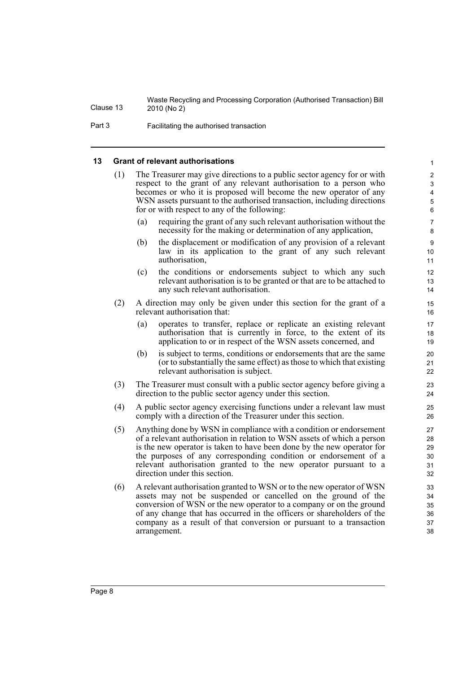Part 3 Facilitating the authorised transaction

#### <span id="page-15-0"></span>**13 Grant of relevant authorisations**

- (1) The Treasurer may give directions to a public sector agency for or with respect to the grant of any relevant authorisation to a person who becomes or who it is proposed will become the new operator of any WSN assets pursuant to the authorised transaction, including directions for or with respect to any of the following:
	- (a) requiring the grant of any such relevant authorisation without the necessity for the making or determination of any application,

- (b) the displacement or modification of any provision of a relevant law in its application to the grant of any such relevant authorisation,
- (c) the conditions or endorsements subject to which any such relevant authorisation is to be granted or that are to be attached to any such relevant authorisation.
- (2) A direction may only be given under this section for the grant of a relevant authorisation that:
	- (a) operates to transfer, replace or replicate an existing relevant authorisation that is currently in force, to the extent of its application to or in respect of the WSN assets concerned, and
	- (b) is subject to terms, conditions or endorsements that are the same (or to substantially the same effect) as those to which that existing relevant authorisation is subject.
- (3) The Treasurer must consult with a public sector agency before giving a direction to the public sector agency under this section.
- (4) A public sector agency exercising functions under a relevant law must comply with a direction of the Treasurer under this section.
- (5) Anything done by WSN in compliance with a condition or endorsement of a relevant authorisation in relation to WSN assets of which a person is the new operator is taken to have been done by the new operator for the purposes of any corresponding condition or endorsement of a relevant authorisation granted to the new operator pursuant to a direction under this section.
- (6) A relevant authorisation granted to WSN or to the new operator of WSN assets may not be suspended or cancelled on the ground of the conversion of WSN or the new operator to a company or on the ground of any change that has occurred in the officers or shareholders of the company as a result of that conversion or pursuant to a transaction arrangement.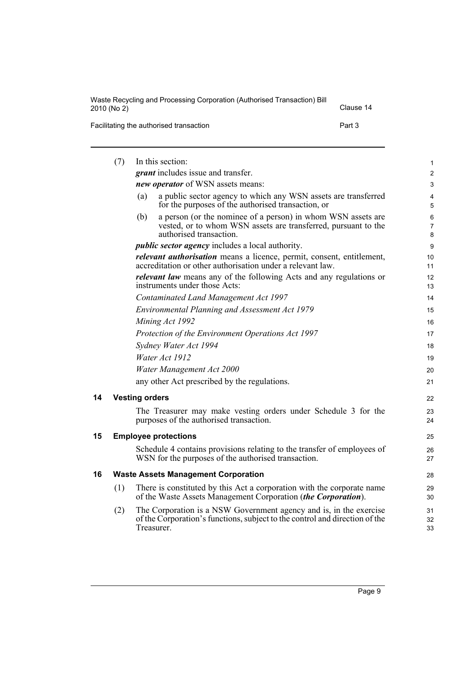| Waste Recycling and Processing Corporation (Authorised Transaction) Bill<br>2010 (No 2) | Clause 14 |
|-----------------------------------------------------------------------------------------|-----------|
| Facilitating the authorised transaction                                                 | Part 3    |

<span id="page-16-2"></span><span id="page-16-1"></span><span id="page-16-0"></span>

|    | (7) | In this section:                                                                                                                                                 | 1                         |
|----|-----|------------------------------------------------------------------------------------------------------------------------------------------------------------------|---------------------------|
|    |     | <i>grant</i> includes issue and transfer.                                                                                                                        | $\overline{c}$            |
|    |     | new operator of WSN assets means:                                                                                                                                | $\ensuremath{\mathsf{3}}$ |
|    |     | a public sector agency to which any WSN assets are transferred<br>(a)<br>for the purposes of the authorised transaction, or                                      | 4<br>5                    |
|    |     | a person (or the nominee of a person) in whom WSN assets are<br>(b)<br>vested, or to whom WSN assets are transferred, pursuant to the<br>authorised transaction. | $\,6$<br>7<br>8           |
|    |     | <i>public sector agency</i> includes a local authority.                                                                                                          | $\boldsymbol{9}$          |
|    |     | <i>relevant authorisation</i> means a licence, permit, consent, entitlement,<br>accreditation or other authorisation under a relevant law.                       | 10<br>11                  |
|    |     | <i>relevant law</i> means any of the following Acts and any regulations or<br>instruments under those Acts:                                                      | 12<br>13                  |
|    |     | Contaminated Land Management Act 1997                                                                                                                            | 14                        |
|    |     | Environmental Planning and Assessment Act 1979                                                                                                                   | 15                        |
|    |     | Mining Act 1992                                                                                                                                                  | 16                        |
|    |     | Protection of the Environment Operations Act 1997                                                                                                                | 17                        |
|    |     | Sydney Water Act 1994                                                                                                                                            | 18                        |
|    |     | Water Act 1912                                                                                                                                                   | 19                        |
|    |     | Water Management Act 2000                                                                                                                                        | 20                        |
|    |     | any other Act prescribed by the regulations.                                                                                                                     | 21                        |
| 14 |     | <b>Vesting orders</b>                                                                                                                                            | 22                        |
|    |     | The Treasurer may make vesting orders under Schedule 3 for the<br>purposes of the authorised transaction.                                                        | 23<br>24                  |
| 15 |     | <b>Employee protections</b>                                                                                                                                      | 25                        |
|    |     | Schedule 4 contains provisions relating to the transfer of employees of<br>WSN for the purposes of the authorised transaction.                                   | 26<br>27                  |
| 16 |     | <b>Waste Assets Management Corporation</b>                                                                                                                       | 28                        |
|    | (1) | There is constituted by this Act a corporation with the corporate name<br>of the Waste Assets Management Corporation (the Corporation).                          | 29<br>30                  |
|    | (2) | The Corporation is a NSW Government agency and is, in the exercise<br>of the Corporation's functions, subject to the control and direction of the<br>Treasurer.  | 31<br>32<br>33            |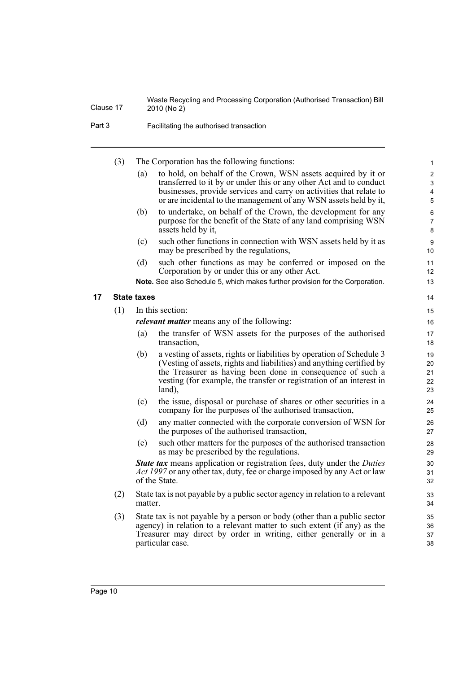Part 3 Facilitating the authorised transaction

<span id="page-17-0"></span>(3) The Corporation has the following functions: (a) to hold, on behalf of the Crown, WSN assets acquired by it or transferred to it by or under this or any other Act and to conduct businesses, provide services and carry on activities that relate to or are incidental to the management of any WSN assets held by it, (b) to undertake, on behalf of the Crown, the development for any purpose for the benefit of the State of any land comprising WSN assets held by it, (c) such other functions in connection with WSN assets held by it as may be prescribed by the regulations, (d) such other functions as may be conferred or imposed on the Corporation by or under this or any other Act. **Note.** See also Schedule 5, which makes further provision for the Corporation. **17 State taxes** (1) In this section: *relevant matter* means any of the following: (a) the transfer of WSN assets for the purposes of the authorised transaction, (b) a vesting of assets, rights or liabilities by operation of Schedule 3 (Vesting of assets, rights and liabilities) and anything certified by the Treasurer as having been done in consequence of such a vesting (for example, the transfer or registration of an interest in land), (c) the issue, disposal or purchase of shares or other securities in a company for the purposes of the authorised transaction, (d) any matter connected with the corporate conversion of WSN for the purposes of the authorised transaction, (e) such other matters for the purposes of the authorised transaction as may be prescribed by the regulations. *State tax* means application or registration fees, duty under the *Duties Act 1997* or any other tax, duty, fee or charge imposed by any Act or law of the State. (2) State tax is not payable by a public sector agency in relation to a relevant matter. (3) State tax is not payable by a person or body (other than a public sector agency) in relation to a relevant matter to such extent (if any) as the Treasurer may direct by order in writing, either generally or in a 10 11 12 13 14 15 16 17 18 19  $20$ 21 22 23 24 25 26 27 28 29 30 31 32 33 34 35 36 37

38

particular case.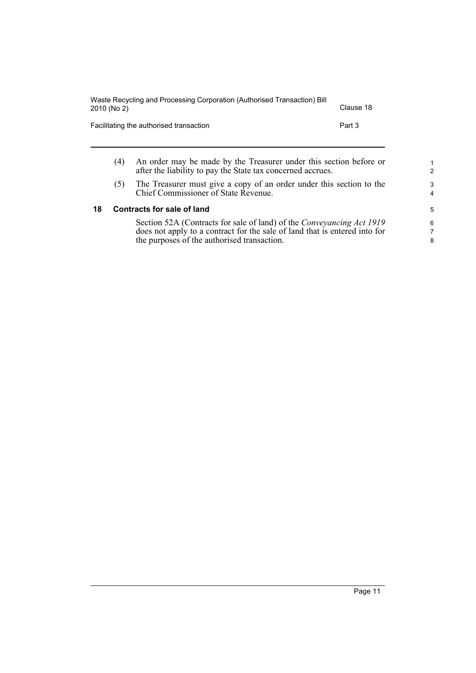| Waste Recycling and Processing Corporation (Authorised Transaction) Bill<br>2010 (No 2) | Clause 18                                                                                                                         |        |
|-----------------------------------------------------------------------------------------|-----------------------------------------------------------------------------------------------------------------------------------|--------|
|                                                                                         | Facilitating the authorised transaction                                                                                           | Part 3 |
| (4)                                                                                     | An order may be made by the Treasurer under this section before or<br>after the liability to pay the State tax concerned accrues. |        |

(5) The Treasurer must give a copy of an order under this section to the Chief Commissioner of State Revenue.

#### <span id="page-18-0"></span>**18 Contracts for sale of land**

Section 52A (Contracts for sale of land) of the *Conveyancing Act 1919* does not apply to a contract for the sale of land that is entered into for the purposes of the authorised transaction.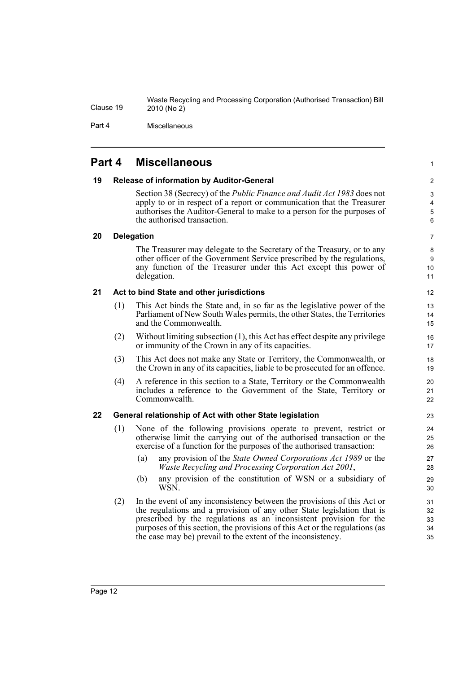Part 4 Miscellaneous

### <span id="page-19-0"></span>**Part 4 Miscellaneous**

#### <span id="page-19-1"></span>**19 Release of information by Auditor-General**

Section 38 (Secrecy) of the *Public Finance and Audit Act 1983* does not apply to or in respect of a report or communication that the Treasurer authorises the Auditor-General to make to a person for the purposes of the authorised transaction.

6 7

1

#### <span id="page-19-2"></span>**20 Delegation**

The Treasurer may delegate to the Secretary of the Treasury, or to any other officer of the Government Service prescribed by the regulations, any function of the Treasurer under this Act except this power of delegation.

#### <span id="page-19-3"></span>**21 Act to bind State and other jurisdictions**

- (1) This Act binds the State and, in so far as the legislative power of the Parliament of New South Wales permits, the other States, the Territories and the Commonwealth.
- (2) Without limiting subsection (1), this Act has effect despite any privilege or immunity of the Crown in any of its capacities.
- (3) This Act does not make any State or Territory, the Commonwealth, or the Crown in any of its capacities, liable to be prosecuted for an offence.
- (4) A reference in this section to a State, Territory or the Commonwealth includes a reference to the Government of the State, Territory or Commonwealth.

#### <span id="page-19-4"></span>**22 General relationship of Act with other State legislation**

- (1) None of the following provisions operate to prevent, restrict or otherwise limit the carrying out of the authorised transaction or the exercise of a function for the purposes of the authorised transaction:
	- (a) any provision of the *State Owned Corporations Act 1989* or the *Waste Recycling and Processing Corporation Act 2001*,
	- (b) any provision of the constitution of WSN or a subsidiary of WSN.
- (2) In the event of any inconsistency between the provisions of this Act or the regulations and a provision of any other State legislation that is prescribed by the regulations as an inconsistent provision for the purposes of this section, the provisions of this Act or the regulations (as the case may be) prevail to the extent of the inconsistency.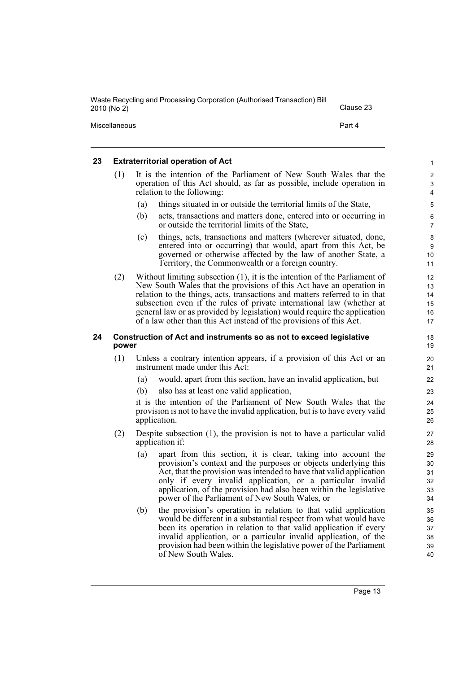| Waste Recycling and Processing Corporation (Authorised Transaction) Bill<br>2010 (No 2) | Clause 23 |
|-----------------------------------------------------------------------------------------|-----------|
| Miscellaneous                                                                           | Part 4    |

#### <span id="page-20-0"></span>**23 Extraterritorial operation of Act**

| (1) | It is the intention of the Parliament of New South Wales that the                                                         |
|-----|---------------------------------------------------------------------------------------------------------------------------|
|     | operation of this Act should, as far as possible, include operation in                                                    |
|     | relation to the following:                                                                                                |
|     | $\langle 1, 3 \rangle$ . Although the contract of a contract of the contract of $\mathcal{A}$ . Contract of $\mathcal{A}$ |

- (a) things situated in or outside the territorial limits of the State,
- (b) acts, transactions and matters done, entered into or occurring in or outside the territorial limits of the State,
- (c) things, acts, transactions and matters (wherever situated, done, entered into or occurring) that would, apart from this Act, be governed or otherwise affected by the law of another State, a Territory, the Commonwealth or a foreign country.
- (2) Without limiting subsection (1), it is the intention of the Parliament of New South Wales that the provisions of this Act have an operation in relation to the things, acts, transactions and matters referred to in that subsection even if the rules of private international law (whether at general law or as provided by legislation) would require the application of a law other than this Act instead of the provisions of this Act.

#### <span id="page-20-1"></span>**24 Construction of Act and instruments so as not to exceed legislative power**

- (1) Unless a contrary intention appears, if a provision of this Act or an instrument made under this Act:
	- (a) would, apart from this section, have an invalid application, but
	- (b) also has at least one valid application,

it is the intention of the Parliament of New South Wales that the provision is not to have the invalid application, but is to have every valid application.

- (2) Despite subsection (1), the provision is not to have a particular valid application if:
	- (a) apart from this section, it is clear, taking into account the provision's context and the purposes or objects underlying this Act, that the provision was intended to have that valid application only if every invalid application, or a particular invalid application, of the provision had also been within the legislative power of the Parliament of New South Wales, or
	- (b) the provision's operation in relation to that valid application would be different in a substantial respect from what would have been its operation in relation to that valid application if every invalid application, or a particular invalid application, of the provision had been within the legislative power of the Parliament of New South Wales.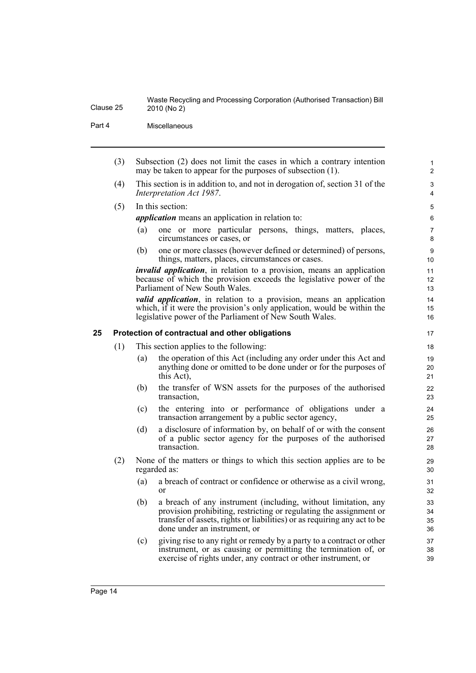Part 4 Miscellaneous

(3) Subsection (2) does not limit the cases in which a contrary intention may be taken to appear for the purposes of subsection (1).

(4) This section is in addition to, and not in derogation of, section 31 of the *Interpretation Act 1987*.

(5) In this section:

*application* means an application in relation to:

- (a) one or more particular persons, things, matters, places, circumstances or cases, or
- (b) one or more classes (however defined or determined) of persons, things, matters, places, circumstances or cases.

*invalid application*, in relation to a provision, means an application because of which the provision exceeds the legislative power of the Parliament of New South Wales.

*valid application*, in relation to a provision, means an application which, if it were the provision's only application, would be within the legislative power of the Parliament of New South Wales.

#### <span id="page-21-0"></span>**25 Protection of contractual and other obligations**

- (1) This section applies to the following:
	- (a) the operation of this Act (including any order under this Act and anything done or omitted to be done under or for the purposes of this Act),
	- (b) the transfer of WSN assets for the purposes of the authorised transaction,
	- (c) the entering into or performance of obligations under a transaction arrangement by a public sector agency,
	- (d) a disclosure of information by, on behalf of or with the consent of a public sector agency for the purposes of the authorised transaction.
- (2) None of the matters or things to which this section applies are to be regarded as:
	- (a) a breach of contract or confidence or otherwise as a civil wrong, or
	- (b) a breach of any instrument (including, without limitation, any provision prohibiting, restricting or regulating the assignment or transfer of assets, rights or liabilities) or as requiring any act to be done under an instrument, or
	- (c) giving rise to any right or remedy by a party to a contract or other instrument, or as causing or permitting the termination of, or exercise of rights under, any contract or other instrument, or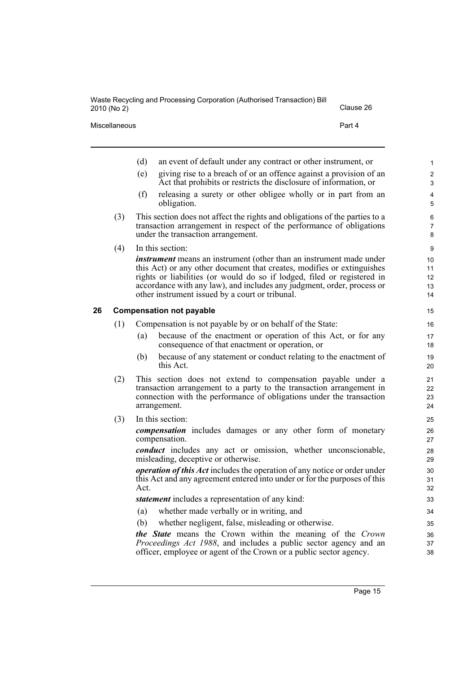|    | Miscellaneous |     | Part 4                                                                                                                                                                                                                                                                                                                                                       |                               |
|----|---------------|-----|--------------------------------------------------------------------------------------------------------------------------------------------------------------------------------------------------------------------------------------------------------------------------------------------------------------------------------------------------------------|-------------------------------|
|    |               | (d) | an event of default under any contract or other instrument, or                                                                                                                                                                                                                                                                                               | 1                             |
|    |               | (e) | giving rise to a breach of or an offence against a provision of an<br>Act that prohibits or restricts the disclosure of information, or                                                                                                                                                                                                                      | $\overline{c}$<br>$\mathsf 3$ |
|    |               | (f) | releasing a surety or other obligee wholly or in part from an<br>obligation.                                                                                                                                                                                                                                                                                 | $\overline{\mathbf{4}}$<br>5  |
|    | (3)           |     | This section does not affect the rights and obligations of the parties to a<br>transaction arrangement in respect of the performance of obligations<br>under the transaction arrangement.                                                                                                                                                                    | 6<br>$\overline{7}$<br>8      |
|    | (4)           |     | In this section:                                                                                                                                                                                                                                                                                                                                             | $\boldsymbol{9}$              |
|    |               |     | <i>instrument</i> means an instrument (other than an instrument made under<br>this Act) or any other document that creates, modifies or extinguishes<br>rights or liabilities (or would do so if lodged, filed or registered in<br>accordance with any law), and includes any judgment, order, process or<br>other instrument issued by a court or tribunal. | 10<br>11<br>12<br>13<br>14    |
| 26 |               |     | <b>Compensation not payable</b>                                                                                                                                                                                                                                                                                                                              | 15                            |
|    | (1)           |     | Compensation is not payable by or on behalf of the State:                                                                                                                                                                                                                                                                                                    | 16                            |
|    |               | (a) | because of the enactment or operation of this Act, or for any<br>consequence of that enactment or operation, or                                                                                                                                                                                                                                              | 17<br>18                      |
|    |               | (b) | because of any statement or conduct relating to the enactment of<br>this Act.                                                                                                                                                                                                                                                                                | 19<br>20                      |
|    | (2)           |     | This section does not extend to compensation payable under a<br>transaction arrangement to a party to the transaction arrangement in<br>connection with the performance of obligations under the transaction<br>arrangement.                                                                                                                                 | 21<br>22<br>23<br>24          |
|    | (3)           |     | In this section:                                                                                                                                                                                                                                                                                                                                             | 25                            |
|    |               |     | <i>compensation</i> includes damages or any other form of monetary<br>compensation.                                                                                                                                                                                                                                                                          | 26<br>27                      |
|    |               |     | <i>conduct</i> includes any act or omission, whether unconscionable,<br>misleading, deceptive or otherwise.                                                                                                                                                                                                                                                  | 28<br>29                      |

2010 (No 2) Clause 26

<span id="page-22-0"></span>*operation of this Act* includes the operation of any notice or order under this Act and any agreement entered into under or for the purposes of this Act.

*statement* includes a representation of any kind:

- (a) whether made verbally or in writing, and
- (b) whether negligent, false, misleading or otherwise.

*the State* means the Crown within the meaning of the *Crown Proceedings Act 1988*, and includes a public sector agency and an officer, employee or agent of the Crown or a public sector agency.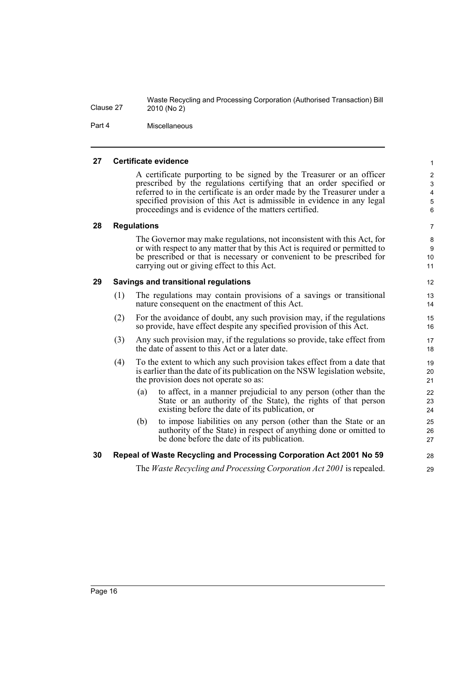Part 4 Miscellaneous

#### <span id="page-23-0"></span>**27 Certificate evidence**

A certificate purporting to be signed by the Treasurer or an officer prescribed by the regulations certifying that an order specified or referred to in the certificate is an order made by the Treasurer under a specified provision of this Act is admissible in evidence in any legal proceedings and is evidence of the matters certified.

28 29

#### <span id="page-23-1"></span>**28 Regulations**

The Governor may make regulations, not inconsistent with this Act, for or with respect to any matter that by this Act is required or permitted to be prescribed or that is necessary or convenient to be prescribed for carrying out or giving effect to this Act.

#### <span id="page-23-2"></span>**29 Savings and transitional regulations**

- (1) The regulations may contain provisions of a savings or transitional nature consequent on the enactment of this Act.
- (2) For the avoidance of doubt, any such provision may, if the regulations so provide, have effect despite any specified provision of this Act.
- (3) Any such provision may, if the regulations so provide, take effect from the date of assent to this Act or a later date.
- (4) To the extent to which any such provision takes effect from a date that is earlier than the date of its publication on the NSW legislation website, the provision does not operate so as:
	- (a) to affect, in a manner prejudicial to any person (other than the State or an authority of the State), the rights of that person existing before the date of its publication, or
	- (b) to impose liabilities on any person (other than the State or an authority of the State) in respect of anything done or omitted to be done before the date of its publication.

#### <span id="page-23-3"></span>**30 Repeal of Waste Recycling and Processing Corporation Act 2001 No 59**

The *Waste Recycling and Processing Corporation Act 2001* is repealed.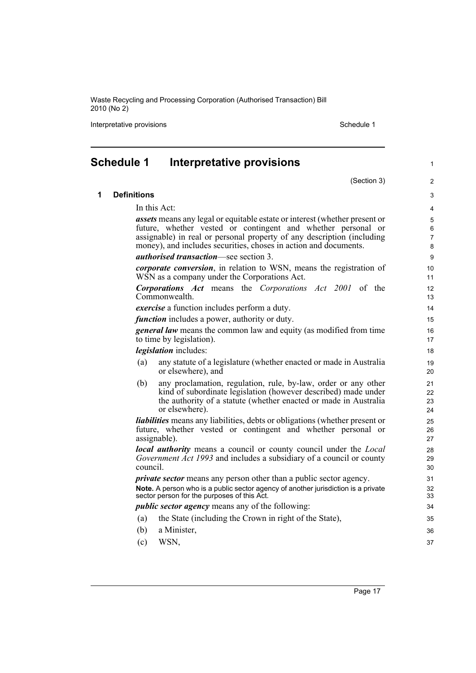Interpretative provisions and the state of the state of the Schedule 1 state of the Schedule 1

<span id="page-24-0"></span>

|   | <b>Schedule 1</b>  | Interpretative provisions                                                                                                                                                                                              | 1                    |
|---|--------------------|------------------------------------------------------------------------------------------------------------------------------------------------------------------------------------------------------------------------|----------------------|
|   |                    | (Section 3)                                                                                                                                                                                                            | $\overline{2}$       |
| 1 | <b>Definitions</b> |                                                                                                                                                                                                                        | 3                    |
|   |                    | In this Act:                                                                                                                                                                                                           | 4                    |
|   |                    | <i>assets</i> means any legal or equitable estate or interest (whether present or                                                                                                                                      | 5                    |
|   |                    | future, whether vested or contingent and whether personal or                                                                                                                                                           | 6                    |
|   |                    | assignable) in real or personal property of any description (including<br>money), and includes securities, choses in action and documents.                                                                             | 7<br>8               |
|   |                    | <i>authorised transaction</i> —see section 3.                                                                                                                                                                          | 9                    |
|   |                    | <i>corporate conversion</i> , in relation to WSN, means the registration of<br>WSN as a company under the Corporations Act.                                                                                            | 10<br>11             |
|   |                    | <b>Corporations Act</b> means the Corporations Act 2001 of the<br>Commonwealth.                                                                                                                                        | 12<br>13             |
|   |                    | <i>exercise</i> a function includes perform a duty.                                                                                                                                                                    | 14                   |
|   |                    | <i>function</i> includes a power, authority or duty.                                                                                                                                                                   | 15                   |
|   |                    | <b>general law</b> means the common law and equity (as modified from time<br>to time by legislation).                                                                                                                  | 16<br>17             |
|   |                    | <i>legislation</i> includes:                                                                                                                                                                                           | 18                   |
|   | (a)                | any statute of a legislature (whether enacted or made in Australia<br>or elsewhere), and                                                                                                                               | 19<br>20             |
|   | (b)                | any proclamation, regulation, rule, by-law, order or any other<br>kind of subordinate legislation (however described) made under<br>the authority of a statute (whether enacted or made in Australia<br>or elsewhere). | 21<br>22<br>23<br>24 |
|   |                    | <i>liabilities</i> means any liabilities, debts or obligations (whether present or<br>future, whether vested or contingent and whether personal or<br>assignable).                                                     | 25<br>26<br>27       |
|   | council.           | <b><i>local authority</i></b> means a council or county council under the <i>Local</i><br>Government Act 1993 and includes a subsidiary of a council or county                                                         | 28<br>29<br>30       |
|   |                    | <i>private sector</i> means any person other than a public sector agency.                                                                                                                                              | 31                   |
|   |                    | Note. A person who is a public sector agency of another jurisdiction is a private<br>sector person for the purposes of this Act.                                                                                       | 32<br>33             |
|   |                    | <i>public sector agency</i> means any of the following:                                                                                                                                                                | 34                   |
|   | (a)                | the State (including the Crown in right of the State),                                                                                                                                                                 | 35                   |
|   | (b)                | a Minister,                                                                                                                                                                                                            | 36                   |
|   | (c)                | WSN,                                                                                                                                                                                                                   | 37                   |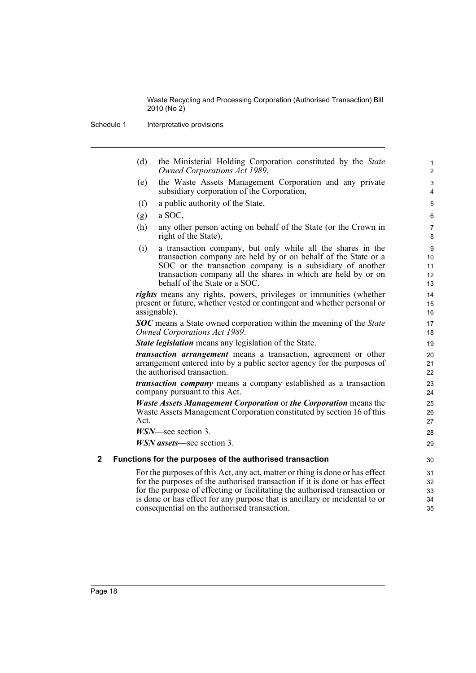Schedule 1 Interpretative provisions

(d) the Ministerial Holding Corporation constituted by the *State Owned Corporations Act 1989*,

- (e) the Waste Assets Management Corporation and any private subsidiary corporation of the Corporation,
- (f) a public authority of the State,
- $(g)$  a SOC,
- (h) any other person acting on behalf of the State (or the Crown in right of the State),
- (i) a transaction company, but only while all the shares in the transaction company are held by or on behalf of the State or a SOC or the transaction company is a subsidiary of another transaction company all the shares in which are held by or on behalf of the State or a SOC.

*rights* means any rights, powers, privileges or immunities (whether present or future, whether vested or contingent and whether personal or assignable).

*SOC* means a State owned corporation within the meaning of the *State Owned Corporations Act 1989*.

*State legislation* means any legislation of the State.

*transaction arrangement* means a transaction, agreement or other arrangement entered into by a public sector agency for the purposes of the authorised transaction.

*transaction company* means a company established as a transaction company pursuant to this Act.

*Waste Assets Management Corporation* or *the Corporation* means the Waste Assets Management Corporation constituted by section 16 of this Act.

*WSN*—see section 3.

*WSN assets*—see section 3.

#### **2 Functions for the purposes of the authorised transaction**

For the purposes of this Act, any act, matter or thing is done or has effect for the purposes of the authorised transaction if it is done or has effect for the purpose of effecting or facilitating the authorised transaction or is done or has effect for any purpose that is ancillary or incidental to or consequential on the authorised transaction.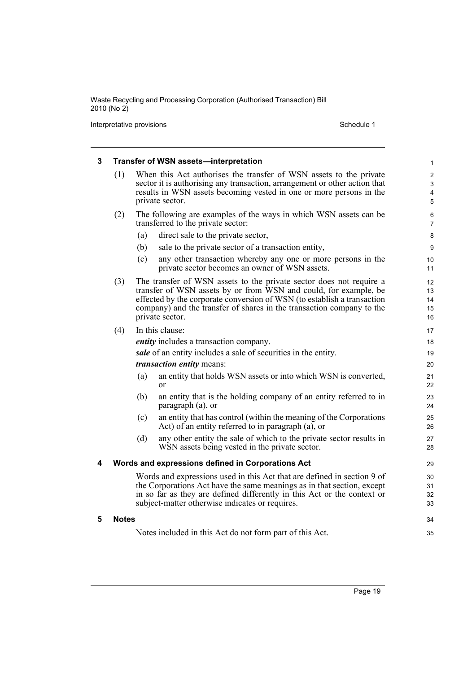Interpretative provisions and the set of the set of the set of the Schedule 1 set of the Schedule 1

| 3 |                                                                         |     | <b>Transfer of WSN assets-interpretation</b>                                                                                                      | 1                   |  |
|---|-------------------------------------------------------------------------|-----|---------------------------------------------------------------------------------------------------------------------------------------------------|---------------------|--|
|   | (1)                                                                     |     | When this Act authorises the transfer of WSN assets to the private<br>sector it is authorising any transaction, arrangement or other action that  | $\overline{2}$<br>3 |  |
|   |                                                                         |     | results in WSN assets becoming vested in one or more persons in the                                                                               | 4                   |  |
|   |                                                                         |     | private sector.                                                                                                                                   | 5                   |  |
|   | (2)                                                                     |     | The following are examples of the ways in which WSN assets can be                                                                                 | 6                   |  |
|   |                                                                         |     | transferred to the private sector:                                                                                                                | $\overline{7}$      |  |
|   |                                                                         | (a) | direct sale to the private sector,                                                                                                                | 8                   |  |
|   |                                                                         | (b) | sale to the private sector of a transaction entity,                                                                                               | 9                   |  |
|   |                                                                         | (c) | any other transaction whereby any one or more persons in the<br>private sector becomes an owner of WSN assets.                                    | 10<br>11            |  |
|   | (3)                                                                     |     | The transfer of WSN assets to the private sector does not require a                                                                               | 12 <sup>2</sup>     |  |
|   |                                                                         |     | transfer of WSN assets by or from WSN and could, for example, be<br>effected by the corporate conversion of WSN (to establish a transaction       | 13<br>14            |  |
|   |                                                                         |     | company) and the transfer of shares in the transaction company to the                                                                             | 15                  |  |
|   |                                                                         |     | private sector.                                                                                                                                   | 16                  |  |
|   | (4)                                                                     |     | In this clause:                                                                                                                                   | 17                  |  |
|   |                                                                         |     | <i>entity</i> includes a transaction company.                                                                                                     | 18                  |  |
|   |                                                                         |     | sale of an entity includes a sale of securities in the entity.                                                                                    | 19                  |  |
|   |                                                                         |     | <i>transaction entity means:</i>                                                                                                                  | 20                  |  |
|   |                                                                         | (a) | an entity that holds WSN assets or into which WSN is converted,<br>$\alpha$                                                                       | 21<br>22            |  |
|   |                                                                         | (b) | an entity that is the holding company of an entity referred to in<br>paragraph (a), or                                                            | 23<br>24            |  |
|   |                                                                         | (c) | an entity that has control (within the meaning of the Corporations<br>Act) of an entity referred to in paragraph (a), or                          | 25<br>26            |  |
|   |                                                                         | (d) | any other entity the sale of which to the private sector results in<br>WSN assets being vested in the private sector.                             | 27<br>28            |  |
| 4 |                                                                         |     | Words and expressions defined in Corporations Act                                                                                                 | 29                  |  |
|   | Words and expressions used in this Act that are defined in section 9 of |     |                                                                                                                                                   |                     |  |
|   |                                                                         |     | the Corporations Act have the same meanings as in that section, except<br>in so far as they are defined differently in this Act or the context or | 31<br>32            |  |
|   |                                                                         |     | subject-matter otherwise indicates or requires.                                                                                                   | 33                  |  |
| 5 | <b>Notes</b>                                                            |     |                                                                                                                                                   | 34                  |  |
|   |                                                                         |     | Notes included in this Act do not form part of this Act.                                                                                          | 35                  |  |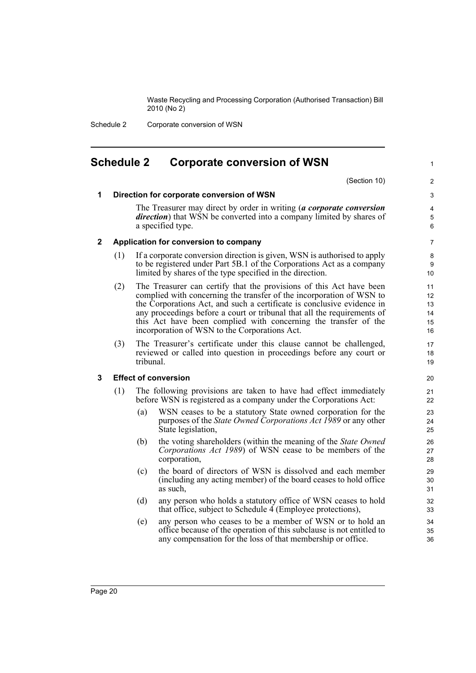Schedule 2 Corporate conversion of WSN

## <span id="page-27-0"></span>**Schedule 2 Corporate conversion of WSN**

(Section 10)

1

#### **1 Direction for corporate conversion of WSN**

The Treasurer may direct by order in writing (*a corporate conversion direction*) that WSN be converted into a company limited by shares of a specified type.

#### **2 Application for conversion to company**

- (1) If a corporate conversion direction is given, WSN is authorised to apply to be registered under Part 5B.1 of the Corporations Act as a company limited by shares of the type specified in the direction.
- (2) The Treasurer can certify that the provisions of this Act have been complied with concerning the transfer of the incorporation of WSN to the Corporations Act, and such a certificate is conclusive evidence in any proceedings before a court or tribunal that all the requirements of this Act have been complied with concerning the transfer of the incorporation of WSN to the Corporations Act.
- (3) The Treasurer's certificate under this clause cannot be challenged, reviewed or called into question in proceedings before any court or tribunal.

#### **3 Effect of conversion**

- (1) The following provisions are taken to have had effect immediately before WSN is registered as a company under the Corporations Act:
	- (a) WSN ceases to be a statutory State owned corporation for the purposes of the *State Owned Corporations Act 1989* or any other State legislation,
	- (b) the voting shareholders (within the meaning of the *State Owned Corporations Act 1989*) of WSN cease to be members of the corporation,
	- (c) the board of directors of WSN is dissolved and each member (including any acting member) of the board ceases to hold office as such,
	- (d) any person who holds a statutory office of WSN ceases to hold that office, subject to Schedule 4 (Employee protections),
	- (e) any person who ceases to be a member of WSN or to hold an office because of the operation of this subclause is not entitled to any compensation for the loss of that membership or office.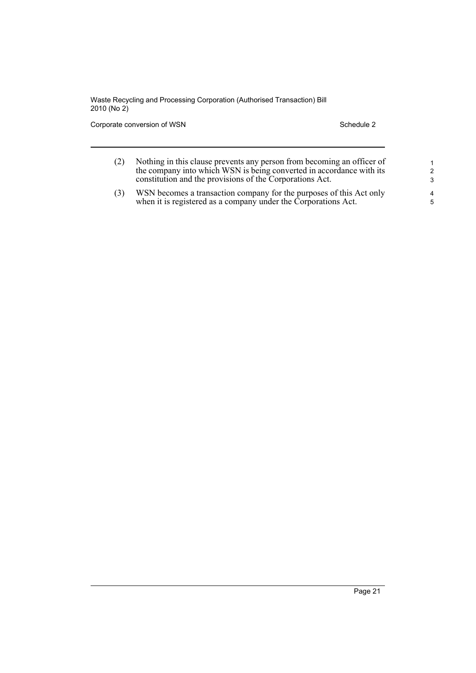Corporate conversion of WSN Schedule 2

| Nothing in this clause prevents any person from becoming an officer of<br>the company into which WSN is being converted in accordance with its<br>constitution and the provisions of the Corporations Act. |  |
|------------------------------------------------------------------------------------------------------------------------------------------------------------------------------------------------------------|--|
| WSN becomes a transaction company for the nurnoses of this Act only                                                                                                                                        |  |

(3) WSN becomes a transaction company for the purposes of this Act only when it is registered as a company under the Corporations Act.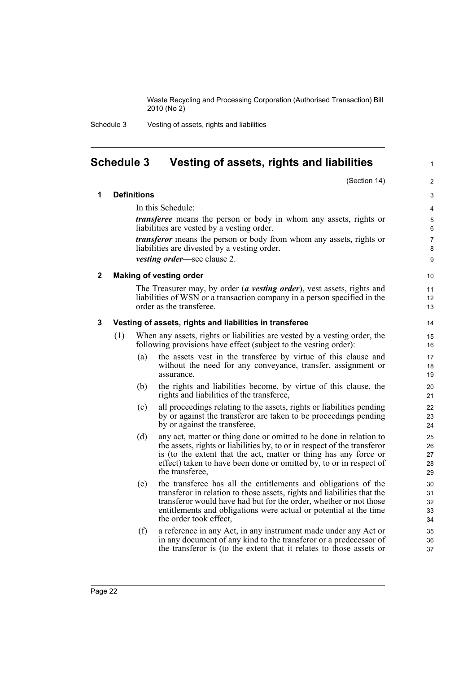1

Schedule 3 Vesting of assets, rights and liabilities

## <span id="page-29-0"></span>**Schedule 3 Vesting of assets, rights and liabilities**

(Section 14) **1 Definitions** In this Schedule: *transferee* means the person or body in whom any assets, rights or liabilities are vested by a vesting order. *transferor* means the person or body from whom any assets, rights or liabilities are divested by a vesting order. *vesting order*—see clause 2. **2 Making of vesting order** The Treasurer may, by order (*a vesting order*), vest assets, rights and liabilities of WSN or a transaction company in a person specified in the order as the transferee. **3 Vesting of assets, rights and liabilities in transferee** (1) When any assets, rights or liabilities are vested by a vesting order, the following provisions have effect (subject to the vesting order): (a) the assets vest in the transferee by virtue of this clause and without the need for any conveyance, transfer, assignment or assurance, (b) the rights and liabilities become, by virtue of this clause, the rights and liabilities of the transferee, (c) all proceedings relating to the assets, rights or liabilities pending by or against the transferor are taken to be proceedings pending by or against the transferee, (d) any act, matter or thing done or omitted to be done in relation to the assets, rights or liabilities by, to or in respect of the transferor is (to the extent that the act, matter or thing has any force or effect) taken to have been done or omitted by, to or in respect of the transferee, (e) the transferee has all the entitlements and obligations of the transferor in relation to those assets, rights and liabilities that the transferor would have had but for the order, whether or not those entitlements and obligations were actual or potential at the time the order took effect, (f) a reference in any Act, in any instrument made under any Act or in any document of any kind to the transferor or a predecessor of the transferor is (to the extent that it relates to those assets or  $\overline{2}$ 3 4 5 6 7 8 9 10 11 12 13 14 15 16 17 18 19 20 21 22 23  $24$ 25 26 27 28 29 30 31 32 33 34 35 36 37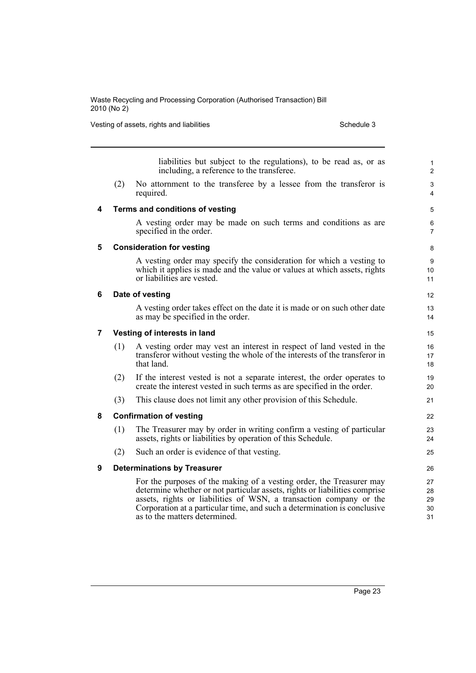Vesting of assets, rights and liabilities Schedule 3 Schedule 3

|                |                                    | liabilities but subject to the regulations), to be read as, or as<br>including, a reference to the transferee.                                                                                                                                                                                                                        | 1<br>$\overline{2}$        |  |  |
|----------------|------------------------------------|---------------------------------------------------------------------------------------------------------------------------------------------------------------------------------------------------------------------------------------------------------------------------------------------------------------------------------------|----------------------------|--|--|
|                | (2)                                | No attornment to the transferee by a lessee from the transferor is<br>required.                                                                                                                                                                                                                                                       | 3<br>4                     |  |  |
| 4              |                                    | Terms and conditions of vesting                                                                                                                                                                                                                                                                                                       | 5                          |  |  |
|                |                                    | A vesting order may be made on such terms and conditions as are<br>specified in the order.                                                                                                                                                                                                                                            | 6<br>$\overline{7}$        |  |  |
| 5              | <b>Consideration for vesting</b>   |                                                                                                                                                                                                                                                                                                                                       |                            |  |  |
|                |                                    | A vesting order may specify the consideration for which a vesting to<br>which it applies is made and the value or values at which assets, rights<br>or liabilities are vested.                                                                                                                                                        | 9<br>10<br>11              |  |  |
| 6              | Date of vesting                    |                                                                                                                                                                                                                                                                                                                                       |                            |  |  |
|                |                                    | A vesting order takes effect on the date it is made or on such other date<br>as may be specified in the order.                                                                                                                                                                                                                        | 13<br>14                   |  |  |
| $\overline{7}$ | Vesting of interests in land       |                                                                                                                                                                                                                                                                                                                                       |                            |  |  |
|                | (1)                                | A vesting order may vest an interest in respect of land vested in the<br>transferor without vesting the whole of the interests of the transferor in<br>that land.                                                                                                                                                                     | 16<br>17<br>18             |  |  |
|                | (2)                                | If the interest vested is not a separate interest, the order operates to<br>create the interest vested in such terms as are specified in the order.                                                                                                                                                                                   | 19<br>20                   |  |  |
|                | (3)                                | This clause does not limit any other provision of this Schedule.                                                                                                                                                                                                                                                                      | 21                         |  |  |
| 8              |                                    | <b>Confirmation of vesting</b>                                                                                                                                                                                                                                                                                                        | 22                         |  |  |
|                | (1)                                | The Treasurer may by order in writing confirm a vesting of particular<br>assets, rights or liabilities by operation of this Schedule.                                                                                                                                                                                                 | 23<br>24                   |  |  |
|                | (2)                                | Such an order is evidence of that vesting.                                                                                                                                                                                                                                                                                            | 25                         |  |  |
| 9              | <b>Determinations by Treasurer</b> |                                                                                                                                                                                                                                                                                                                                       |                            |  |  |
|                |                                    | For the purposes of the making of a vesting order, the Treasurer may<br>determine whether or not particular assets, rights or liabilities comprise<br>assets, rights or liabilities of WSN, a transaction company or the<br>Corporation at a particular time, and such a determination is conclusive<br>as to the matters determined. | 27<br>28<br>29<br>30<br>31 |  |  |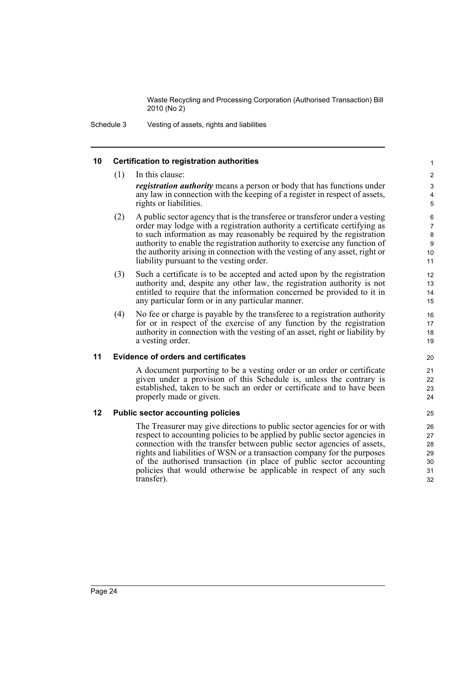19

Schedule 3 Vesting of assets, rights and liabilities

#### **10 Certification to registration authorities**

(1) In this clause: *registration authority* means a person or body that has functions under any law in connection with the keeping of a register in respect of assets, rights or liabilities. (2) A public sector agency that is the transferee or transferor under a vesting order may lodge with a registration authority a certificate certifying as to such information as may reasonably be required by the registration authority to enable the registration authority to exercise any function of the authority arising in connection with the vesting of any asset, right or liability pursuant to the vesting order. (3) Such a certificate is to be accepted and acted upon by the registration authority and, despite any other law, the registration authority is not entitled to require that the information concerned be provided to it in any particular form or in any particular manner. (4) No fee or charge is payable by the transferee to a registration authority for or in respect of the exercise of any function by the registration authority in connection with the vesting of an asset, right or liability by a vesting order.  $10$ 11 12 13 14 15 16 17 18

#### **11 Evidence of orders and certificates**

A document purporting to be a vesting order or an order or certificate given under a provision of this Schedule is, unless the contrary is established, taken to be such an order or certificate and to have been properly made or given.

#### **12 Public sector accounting policies**

The Treasurer may give directions to public sector agencies for or with respect to accounting policies to be applied by public sector agencies in connection with the transfer between public sector agencies of assets, rights and liabilities of WSN or a transaction company for the purposes of the authorised transaction (in place of public sector accounting policies that would otherwise be applicable in respect of any such transfer).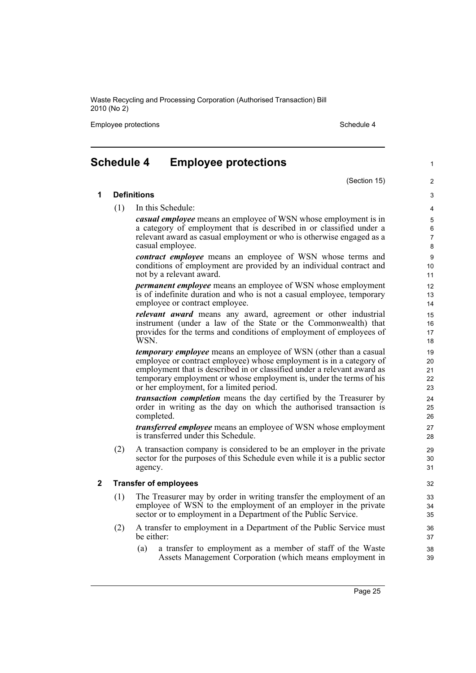Employee protections and the state of the state of the Schedule 4 and the Schedule 4

**1 Definitions**

## <span id="page-32-0"></span>**Schedule 4 Employee protections**

#### (Section 15)

3 4 5

1

 $\overline{2}$ 

(1) In this Schedule:

*casual employee* means an employee of WSN whose employment is in a category of employment that is described in or classified under a relevant award as casual employment or who is otherwise engaged as a casual employee.

*contract employee* means an employee of WSN whose terms and conditions of employment are provided by an individual contract and not by a relevant award.

*permanent employee* means an employee of WSN whose employment is of indefinite duration and who is not a casual employee, temporary employee or contract employee.

*relevant award* means any award, agreement or other industrial instrument (under a law of the State or the Commonwealth) that provides for the terms and conditions of employment of employees of WSN.

*temporary employee* means an employee of WSN (other than a casual employee or contract employee) whose employment is in a category of employment that is described in or classified under a relevant award as temporary employment or whose employment is, under the terms of his or her employment, for a limited period.

*transaction completion* means the day certified by the Treasurer by order in writing as the day on which the authorised transaction is completed.

*transferred employee* means an employee of WSN whose employment is transferred under this Schedule.

(2) A transaction company is considered to be an employer in the private sector for the purposes of this Schedule even while it is a public sector agency.

#### **2 Transfer of employees**

- (1) The Treasurer may by order in writing transfer the employment of an employee of WSN to the employment of an employer in the private sector or to employment in a Department of the Public Service.
- (2) A transfer to employment in a Department of the Public Service must be either:
	- (a) a transfer to employment as a member of staff of the Waste Assets Management Corporation (which means employment in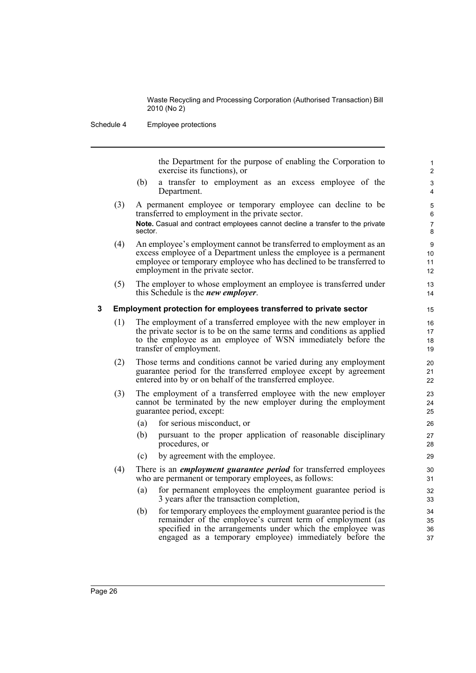Schedule 4 Employee protections

the Department for the purpose of enabling the Corporation to exercise its functions), or

- (b) a transfer to employment as an excess employee of the Department.
- (3) A permanent employee or temporary employee can decline to be transferred to employment in the private sector. **Note.** Casual and contract employees cannot decline a transfer to the private sector.
- (4) An employee's employment cannot be transferred to employment as an excess employee of a Department unless the employee is a permanent employee or temporary employee who has declined to be transferred to employment in the private sector.
- (5) The employer to whose employment an employee is transferred under this Schedule is the *new employer*.

#### **3 Employment protection for employees transferred to private sector**

- (1) The employment of a transferred employee with the new employer in the private sector is to be on the same terms and conditions as applied to the employee as an employee of WSN immediately before the transfer of employment.
- (2) Those terms and conditions cannot be varied during any employment guarantee period for the transferred employee except by agreement entered into by or on behalf of the transferred employee.
- (3) The employment of a transferred employee with the new employer cannot be terminated by the new employer during the employment guarantee period, except:
	- (a) for serious misconduct, or
	- (b) pursuant to the proper application of reasonable disciplinary procedures, or
	- (c) by agreement with the employee.
- (4) There is an *employment guarantee period* for transferred employees who are permanent or temporary employees, as follows:
	- (a) for permanent employees the employment guarantee period is 3 years after the transaction completion,
	- (b) for temporary employees the employment guarantee period is the remainder of the employee's current term of employment (as specified in the arrangements under which the employee was engaged as a temporary employee) immediately before the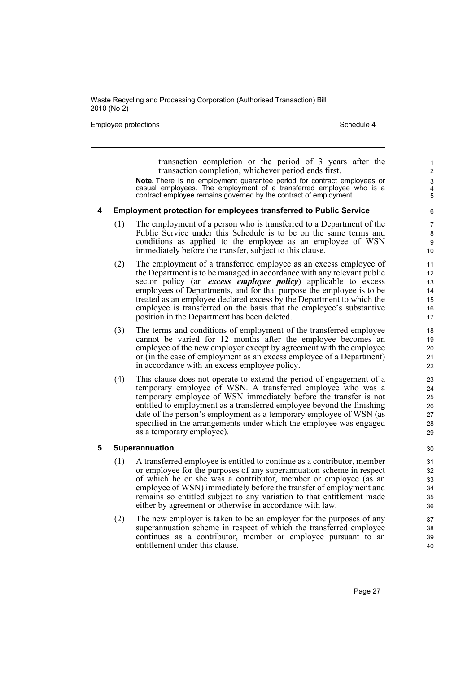Employee protections **Schedule 4** Schedule 4

transaction completion or the period of 3 years after the transaction completion, whichever period ends first.

**Note.** There is no employment guarantee period for contract employees or casual employees. The employment of a transferred employee who is a contract employee remains governed by the contract of employment.

#### **4 Employment protection for employees transferred to Public Service**

- (1) The employment of a person who is transferred to a Department of the Public Service under this Schedule is to be on the same terms and conditions as applied to the employee as an employee of WSN immediately before the transfer, subject to this clause.
- (2) The employment of a transferred employee as an excess employee of the Department is to be managed in accordance with any relevant public sector policy (an *excess employee policy*) applicable to excess employees of Departments, and for that purpose the employee is to be treated as an employee declared excess by the Department to which the employee is transferred on the basis that the employee's substantive position in the Department has been deleted.
- (3) The terms and conditions of employment of the transferred employee cannot be varied for 12 months after the employee becomes an employee of the new employer except by agreement with the employee or (in the case of employment as an excess employee of a Department) in accordance with an excess employee policy.
- (4) This clause does not operate to extend the period of engagement of a temporary employee of WSN. A transferred employee who was a temporary employee of WSN immediately before the transfer is not entitled to employment as a transferred employee beyond the finishing date of the person's employment as a temporary employee of WSN (as specified in the arrangements under which the employee was engaged as a temporary employee).

#### **5 Superannuation**

- (1) A transferred employee is entitled to continue as a contributor, member or employee for the purposes of any superannuation scheme in respect of which he or she was a contributor, member or employee (as an employee of WSN) immediately before the transfer of employment and remains so entitled subject to any variation to that entitlement made either by agreement or otherwise in accordance with law.
- (2) The new employer is taken to be an employer for the purposes of any superannuation scheme in respect of which the transferred employee continues as a contributor, member or employee pursuant to an entitlement under this clause.

Page 27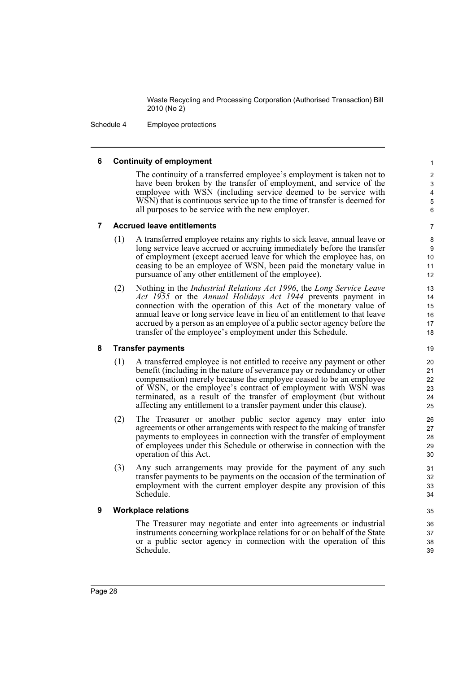Schedule 4 Employee protections

#### **6 Continuity of employment**

The continuity of a transferred employee's employment is taken not to have been broken by the transfer of employment, and service of the employee with WSN (including service deemed to be service with WSN) that is continuous service up to the time of transfer is deemed for all purposes to be service with the new employer.

#### **7 Accrued leave entitlements**

- (1) A transferred employee retains any rights to sick leave, annual leave or long service leave accrued or accruing immediately before the transfer of employment (except accrued leave for which the employee has, on ceasing to be an employee of WSN, been paid the monetary value in pursuance of any other entitlement of the employee).
- (2) Nothing in the *Industrial Relations Act 1996*, the *Long Service Leave Act 1955* or the *Annual Holidays Act 1944* prevents payment in connection with the operation of this Act of the monetary value of annual leave or long service leave in lieu of an entitlement to that leave accrued by a person as an employee of a public sector agency before the transfer of the employee's employment under this Schedule.

#### **8 Transfer payments**

- (1) A transferred employee is not entitled to receive any payment or other benefit (including in the nature of severance pay or redundancy or other compensation) merely because the employee ceased to be an employee of WSN, or the employee's contract of employment with WSN was terminated, as a result of the transfer of employment (but without affecting any entitlement to a transfer payment under this clause).
- (2) The Treasurer or another public sector agency may enter into agreements or other arrangements with respect to the making of transfer payments to employees in connection with the transfer of employment of employees under this Schedule or otherwise in connection with the operation of this Act.
- (3) Any such arrangements may provide for the payment of any such transfer payments to be payments on the occasion of the termination of employment with the current employer despite any provision of this Schedule.

#### **9 Workplace relations**

The Treasurer may negotiate and enter into agreements or industrial instruments concerning workplace relations for or on behalf of the State or a public sector agency in connection with the operation of this Schedule.

18 19 20

34 35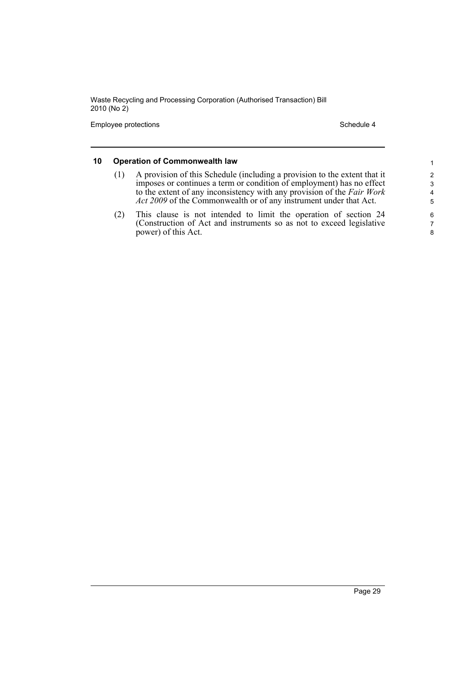Employee protections and the state of the Schedule 4 Schedule 4

### **10 Operation of Commonwealth law**

- (1) A provision of this Schedule (including a provision to the extent that it imposes or continues a term or condition of employment) has no effect to the extent of any inconsistency with any provision of the *Fair Work Act 2009* of the Commonwealth or of any instrument under that Act.
- (2) This clause is not intended to limit the operation of section 24 (Construction of Act and instruments so as not to exceed legislative power) of this Act.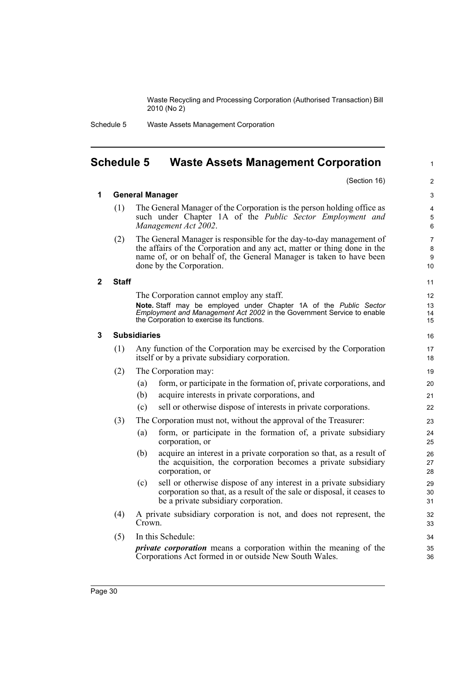1

Schedule 5 Waste Assets Management Corporation

## <span id="page-37-0"></span>**Schedule 5 Waste Assets Management Corporation**

|                         |              | (Section 16)                                                                                                                                                                                                                                      | 2                    |
|-------------------------|--------------|---------------------------------------------------------------------------------------------------------------------------------------------------------------------------------------------------------------------------------------------------|----------------------|
| 1                       |              | <b>General Manager</b>                                                                                                                                                                                                                            | 3                    |
|                         | (1)          | The General Manager of the Corporation is the person holding office as<br>such under Chapter 1A of the <i>Public Sector Employment and</i><br>Management Act 2002.                                                                                | 4<br>5<br>6          |
|                         | (2)          | The General Manager is responsible for the day-to-day management of<br>the affairs of the Corporation and any act, matter or thing done in the<br>name of, or on behalf of, the General Manager is taken to have been<br>done by the Corporation. | 7<br>8<br>9<br>10    |
| $\overline{\mathbf{2}}$ | <b>Staff</b> |                                                                                                                                                                                                                                                   | 11                   |
|                         |              | The Corporation cannot employ any staff.<br>Note. Staff may be employed under Chapter 1A of the Public Sector<br>Employment and Management Act 2002 in the Government Service to enable<br>the Corporation to exercise its functions.             | 12<br>13<br>14<br>15 |
| 3                       |              | <b>Subsidiaries</b>                                                                                                                                                                                                                               | 16                   |
|                         | (1)          | Any function of the Corporation may be exercised by the Corporation<br>itself or by a private subsidiary corporation.                                                                                                                             | 17<br>18             |
|                         | (2)          | The Corporation may:                                                                                                                                                                                                                              | 19                   |
|                         |              | form, or participate in the formation of, private corporations, and<br>(a)                                                                                                                                                                        | 20                   |
|                         |              | (b)<br>acquire interests in private corporations, and                                                                                                                                                                                             | 21                   |
|                         |              | sell or otherwise dispose of interests in private corporations.<br>(c)                                                                                                                                                                            | 22                   |
|                         | (3)          | The Corporation must not, without the approval of the Treasurer:                                                                                                                                                                                  | 23                   |
|                         |              | form, or participate in the formation of, a private subsidiary<br>(a)<br>corporation, or                                                                                                                                                          | 24<br>25             |
|                         |              | (b)<br>acquire an interest in a private corporation so that, as a result of<br>the acquisition, the corporation becomes a private subsidiary<br>corporation, or                                                                                   | 26<br>27<br>28       |
|                         |              | sell or otherwise dispose of any interest in a private subsidiary<br>(c)<br>corporation so that, as a result of the sale or disposal, it ceases to<br>be a private subsidiary corporation.                                                        | 29<br>30<br>31       |
|                         | (4)          | A private subsidiary corporation is not, and does not represent, the<br>Crown.                                                                                                                                                                    | 32<br>33             |
|                         | (5)          | In this Schedule:                                                                                                                                                                                                                                 | 34                   |
|                         |              | <i>private corporation</i> means a corporation within the meaning of the<br>Corporations Act formed in or outside New South Wales.                                                                                                                | 35<br>36             |
|                         |              |                                                                                                                                                                                                                                                   |                      |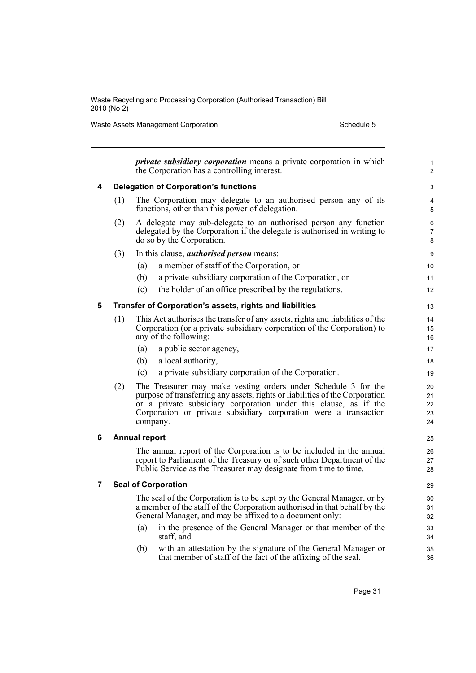Waste Assets Management Corporation Schedule 5

|   |     | <i>private subsidiary corporation</i> means a private corporation in which<br>the Corporation has a controlling interest.                                                                                                                                                                          | 1<br>$\overline{c}$        |
|---|-----|----------------------------------------------------------------------------------------------------------------------------------------------------------------------------------------------------------------------------------------------------------------------------------------------------|----------------------------|
| 4 |     | <b>Delegation of Corporation's functions</b>                                                                                                                                                                                                                                                       | 3                          |
|   | (1) | The Corporation may delegate to an authorised person any of its<br>functions, other than this power of delegation.                                                                                                                                                                                 | 4<br>5                     |
|   | (2) | A delegate may sub-delegate to an authorised person any function<br>delegated by the Corporation if the delegate is authorised in writing to<br>do so by the Corporation.                                                                                                                          | 6<br>7<br>8                |
|   | (3) | In this clause, <i>authorised person</i> means:                                                                                                                                                                                                                                                    | 9                          |
|   |     | a member of staff of the Corporation, or<br>(a)                                                                                                                                                                                                                                                    | 10                         |
|   |     | (b)<br>a private subsidiary corporation of the Corporation, or                                                                                                                                                                                                                                     | 11                         |
|   |     | (c)<br>the holder of an office prescribed by the regulations.                                                                                                                                                                                                                                      | 12                         |
| 5 |     | Transfer of Corporation's assets, rights and liabilities                                                                                                                                                                                                                                           | 13                         |
|   | (1) | This Act authorises the transfer of any assets, rights and liabilities of the<br>Corporation (or a private subsidiary corporation of the Corporation) to<br>any of the following:                                                                                                                  | 14<br>15<br>16             |
|   |     | a public sector agency,<br>(a)                                                                                                                                                                                                                                                                     | 17                         |
|   |     | a local authority,<br>(b)                                                                                                                                                                                                                                                                          | 18                         |
|   |     | (c)<br>a private subsidiary corporation of the Corporation.                                                                                                                                                                                                                                        | 19                         |
|   | (2) | The Treasurer may make vesting orders under Schedule 3 for the<br>purpose of transferring any assets, rights or liabilities of the Corporation<br>or a private subsidiary corporation under this clause, as if the<br>Corporation or private subsidiary corporation were a transaction<br>company. | 20<br>21<br>22<br>23<br>24 |
| 6 |     | <b>Annual report</b>                                                                                                                                                                                                                                                                               | 25                         |
|   |     | The annual report of the Corporation is to be included in the annual<br>report to Parliament of the Treasury or of such other Department of the<br>Public Service as the Treasurer may designate from time to time.                                                                                | 26<br>27<br>28             |
| 7 |     | <b>Seal of Corporation</b>                                                                                                                                                                                                                                                                         | 29                         |
|   |     | The seal of the Corporation is to be kept by the General Manager, or by<br>a member of the staff of the Corporation authorised in that behalf by the<br>General Manager, and may be affixed to a document only:                                                                                    | 30<br>31<br>32             |
|   |     | in the presence of the General Manager or that member of the<br>(a)<br>staff, and                                                                                                                                                                                                                  | 33<br>34                   |
|   |     | with an attestation by the signature of the General Manager or<br>(b)<br>that member of staff of the fact of the affixing of the seal.                                                                                                                                                             | 35<br>36                   |
|   |     |                                                                                                                                                                                                                                                                                                    |                            |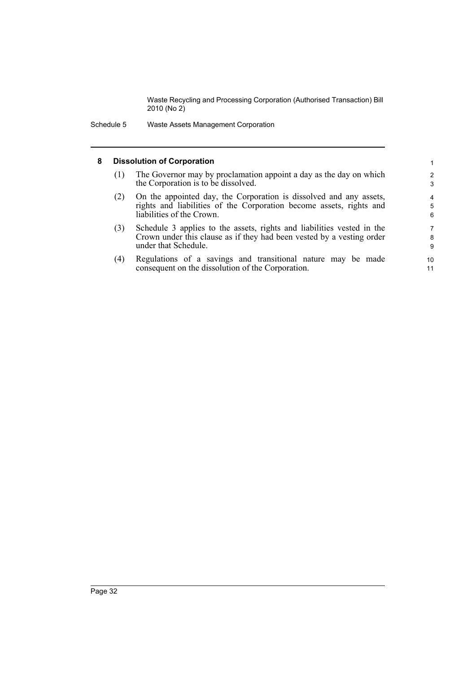Schedule 5 Waste Assets Management Corporation

#### **8 Dissolution of Corporation**

- (1) The Governor may by proclamation appoint a day as the day on which the Corporation is to be dissolved.
- (2) On the appointed day, the Corporation is dissolved and any assets, rights and liabilities of the Corporation become assets, rights and liabilities of the Crown.
- (3) Schedule 3 applies to the assets, rights and liabilities vested in the Crown under this clause as if they had been vested by a vesting order under that Schedule.
- (4) Regulations of a savings and transitional nature may be made consequent on the dissolution of the Corporation.